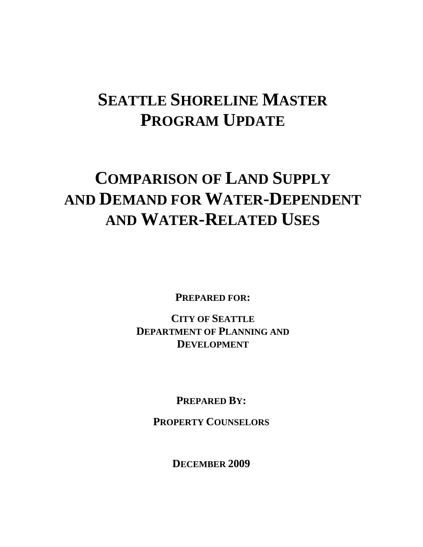# **SEATTLE SHORELINE MASTER PROGRAM UPDATE**

# **COMPARISON OF LAND SUPPLY AND DEMAND FOR WATER-DEPENDENT AND WATER-RELATED USES**

**PREPARED FOR:** 

**CITY OF SEATTLE DEPARTMENT OF PLANNING AND DEVELOPMENT**

**PREPARED BY:** 

**PROPERTY COUNSELORS**

**DECEMBER 2009**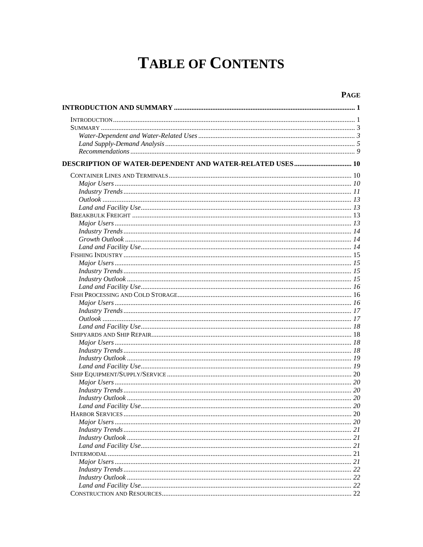# **TABLE OF CONTENTS**

#### **PAGE**

| 21 |
|----|
| 21 |
| 21 |
|    |
|    |
|    |
|    |
|    |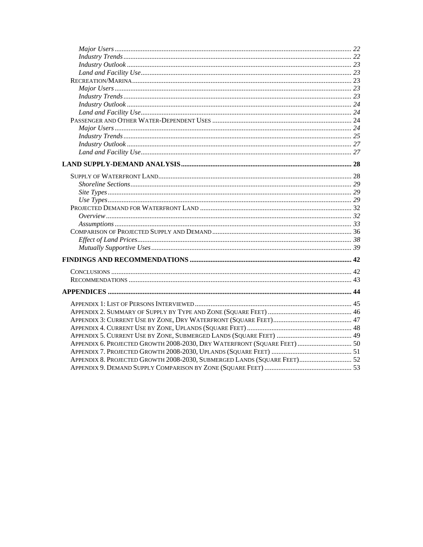| APPENDIX 6. PROJECTED GROWTH 2008-2030, DRY WATERFRONT (SQUARE FEET)  50 |  |
|--------------------------------------------------------------------------|--|
|                                                                          |  |
| APPENDIX 8. PROJECTED GROWTH 2008-2030, SUBMERGED LANDS (SQUARE FEET) 52 |  |
|                                                                          |  |
|                                                                          |  |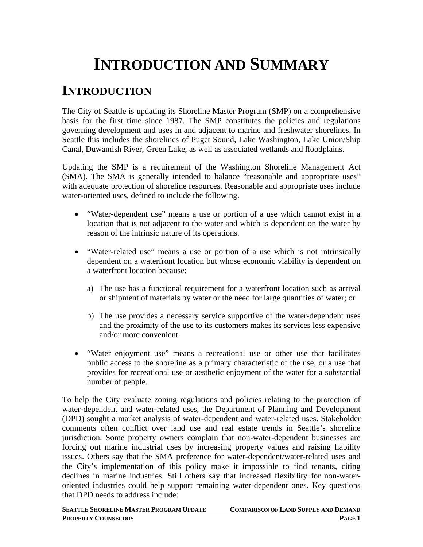# **INTRODUCTION AND SUMMARY**

# **INTRODUCTION**

The City of Seattle is updating its Shoreline Master Program (SMP) on a comprehensive basis for the first time since 1987. The SMP constitutes the policies and regulations governing development and uses in and adjacent to marine and freshwater shorelines. In Seattle this includes the shorelines of Puget Sound, Lake Washington, Lake Union/Ship Canal, Duwamish River, Green Lake, as well as associated wetlands and floodplains.

Updating the SMP is a requirement of the Washington Shoreline Management Act (SMA). The SMA is generally intended to balance "reasonable and appropriate uses" with adequate protection of shoreline resources. Reasonable and appropriate uses include water-oriented uses, defined to include the following.

- "Water-dependent use" means a use or portion of a use which cannot exist in a location that is not adjacent to the water and which is dependent on the water by reason of the intrinsic nature of its operations.
- "Water-related use" means a use or portion of a use which is not intrinsically dependent on a waterfront location but whose economic viability is dependent on a waterfront location because:
	- a) The use has a functional requirement for a waterfront location such as arrival or shipment of materials by water or the need for large quantities of water; or
	- b) The use provides a necessary service supportive of the water-dependent uses and the proximity of the use to its customers makes its services less expensive and/or more convenient.
- "Water enjoyment use" means a recreational use or other use that facilitates public access to the shoreline as a primary characteristic of the use, or a use that provides for recreational use or aesthetic enjoyment of the water for a substantial number of people.

To help the City evaluate zoning regulations and policies relating to the protection of water-dependent and water-related uses, the Department of Planning and Development (DPD) sought a market analysis of water-dependent and water-related uses. Stakeholder comments often conflict over land use and real estate trends in Seattle's shoreline jurisdiction. Some property owners complain that non-water-dependent businesses are forcing out marine industrial uses by increasing property values and raising liability issues. Others say that the SMA preference for water-dependent/water-related uses and the City's implementation of this policy make it impossible to find tenants, citing declines in marine industries. Still others say that increased flexibility for non-wateroriented industries could help support remaining water-dependent ones. Key questions that DPD needs to address include:

**SEATTLE SHORELINE MASTER PROGRAM UPDATE COMPARISON OF LAND SUPPLY AND DEMAND PROPERTY COUNSELORS PAGE 1**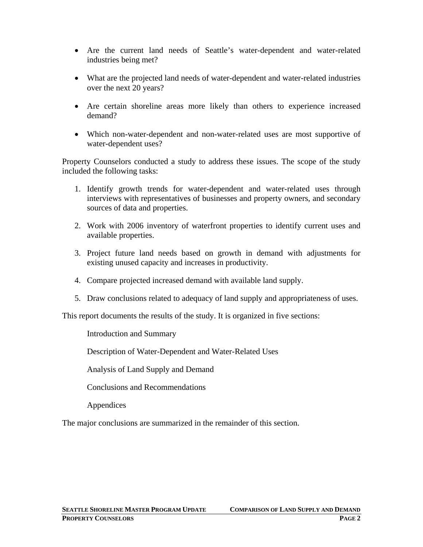- Are the current land needs of Seattle's water-dependent and water-related industries being met?
- What are the projected land needs of water-dependent and water-related industries over the next 20 years?
- Are certain shoreline areas more likely than others to experience increased demand?
- Which non-water-dependent and non-water-related uses are most supportive of water-dependent uses?

Property Counselors conducted a study to address these issues. The scope of the study included the following tasks:

- 1. Identify growth trends for water-dependent and water-related uses through interviews with representatives of businesses and property owners, and secondary sources of data and properties.
- 2. Work with 2006 inventory of waterfront properties to identify current uses and available properties.
- 3. Project future land needs based on growth in demand with adjustments for existing unused capacity and increases in productivity.
- 4. Compare projected increased demand with available land supply.
- 5. Draw conclusions related to adequacy of land supply and appropriateness of uses.

This report documents the results of the study. It is organized in five sections:

Introduction and Summary

Description of Water-Dependent and Water-Related Uses

Analysis of Land Supply and Demand

Conclusions and Recommendations

Appendices

The major conclusions are summarized in the remainder of this section.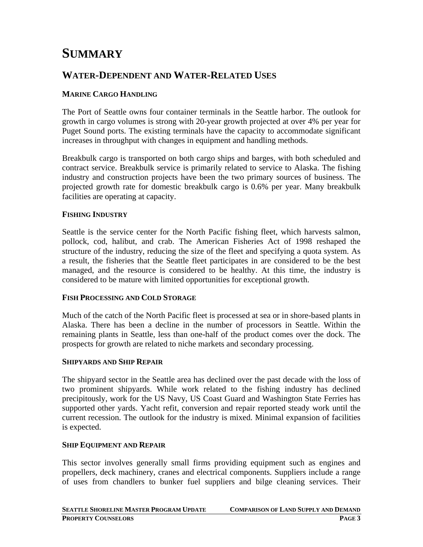# **SUMMARY**

## **WATER-DEPENDENT AND WATER-RELATED USES**

#### **MARINE CARGO HANDLING**

The Port of Seattle owns four container terminals in the Seattle harbor. The outlook for growth in cargo volumes is strong with 20-year growth projected at over 4% per year for Puget Sound ports. The existing terminals have the capacity to accommodate significant increases in throughput with changes in equipment and handling methods.

Breakbulk cargo is transported on both cargo ships and barges, with both scheduled and contract service. Breakbulk service is primarily related to service to Alaska. The fishing industry and construction projects have been the two primary sources of business. The projected growth rate for domestic breakbulk cargo is 0.6% per year. Many breakbulk facilities are operating at capacity.

#### **FISHING INDUSTRY**

Seattle is the service center for the North Pacific fishing fleet, which harvests salmon, pollock, cod, halibut, and crab. The American Fisheries Act of 1998 reshaped the structure of the industry, reducing the size of the fleet and specifying a quota system. As a result, the fisheries that the Seattle fleet participates in are considered to be the best managed, and the resource is considered to be healthy. At this time, the industry is considered to be mature with limited opportunities for exceptional growth.

#### **FISH PROCESSING AND COLD STORAGE**

Much of the catch of the North Pacific fleet is processed at sea or in shore-based plants in Alaska. There has been a decline in the number of processors in Seattle. Within the remaining plants in Seattle, less than one-half of the product comes over the dock. The prospects for growth are related to niche markets and secondary processing.

#### **SHIPYARDS AND SHIP REPAIR**

The shipyard sector in the Seattle area has declined over the past decade with the loss of two prominent shipyards. While work related to the fishing industry has declined precipitously, work for the US Navy, US Coast Guard and Washington State Ferries has supported other yards. Yacht refit, conversion and repair reported steady work until the current recession. The outlook for the industry is mixed. Minimal expansion of facilities is expected.

#### **SHIP EQUIPMENT AND REPAIR**

This sector involves generally small firms providing equipment such as engines and propellers, deck machinery, cranes and electrical components. Suppliers include a range of uses from chandlers to bunker fuel suppliers and bilge cleaning services. Their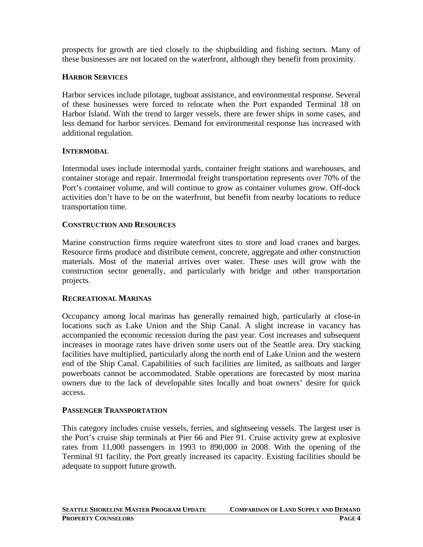prospects for growth are tied closely to the shipbuilding and fishing sectors. Many of these businesses are not located on the waterfront, although they benefit from proximity.

#### **HARBOR SERVICES**

Harbor services include pilotage, tugboat assistance, and environmental response. Several of these businesses were forced to relocate when the Port expanded Terminal 18 on Harbor Island. With the trend to larger vessels, there are fewer ships in some cases, and less demand for harbor services. Demand for environmental response has increased with additional regulation.

#### **INTERMODAL**

Intermodal uses include intermodal yards, container freight stations and warehouses, and container storage and repair. Intermodal freight transportation represents over 70% of the Port's container volume, and will continue to grow as container volumes grow. Off-dock activities don't have to be on the waterfront, but benefit from nearby locations to reduce transportation time.

#### **CONSTRUCTION AND RESOURCES**

Marine construction firms require waterfront sites to store and load cranes and barges. Resource firms produce and distribute cement, concrete, aggregate and other construction materials. Most of the material arrives over water. These uses will grow with the construction sector generally, and particularly with bridge and other transportation projects.

#### **RECREATIONAL MARINAS**

Occupancy among local marinas has generally remained high, particularly at close-in locations such as Lake Union and the Ship Canal. A slight increase in vacancy has accompanied the economic recession during the past year. Cost increases and subsequent increases in moorage rates have driven some users out of the Seattle area. Dry stacking facilities have multiplied, particularly along the north end of Lake Union and the western end of the Ship Canal. Capabilities of such facilities are limited, as sailboats and larger powerboats cannot be accommodated. Stable operations are forecasted by most marina owners due to the lack of developable sites locally and boat owners' desire for quick access.

#### **PASSENGER TRANSPORTATION**

This category includes cruise vessels, ferries, and sightseeing vessels. The largest user is the Port's cruise ship terminals at Pier 66 and Pier 91. Cruise activity grew at explosive rates from 11,000 passengers in 1993 to 890,000 in 2008. With the opening of the Terminal 91 facility, the Port greatly increased its capacity. Existing facilities should be adequate to support future growth.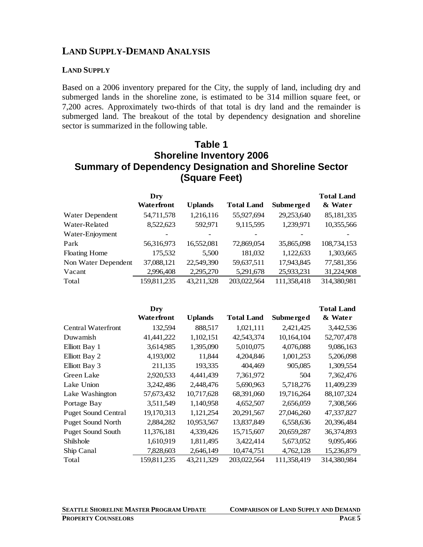#### **LAND SUPPLY-DEMAND ANALYSIS**

#### **LAND SUPPLY**

Based on a 2006 inventory prepared for the City, the supply of land, including dry and submerged lands in the shoreline zone, is estimated to be 314 million square feet, or 7,200 acres. Approximately two-thirds of that total is dry land and the remainder is submerged land. The breakout of the total by dependency designation and shoreline sector is summarized in the following table.

#### **Table 1 Shoreline Inventory 2006 Summary of Dependency Designation and Shoreline Sector (Square Feet)**

|                      | Dry                |                |                   |             | <b>Total Land</b> |
|----------------------|--------------------|----------------|-------------------|-------------|-------------------|
|                      | <b>Wate rfront</b> | <b>Uplands</b> | <b>Total Land</b> | Submerged   | & Water           |
| Water Dependent      | 54,711,578         | 1,216,116      | 55,927,694        | 29,253,640  | 85,181,335        |
| Water-Related        | 8,522,623          | 592,971        | 9,115,595         | 1,239,971   | 10,355,566        |
| Water-Enjoyment      |                    |                |                   |             |                   |
| Park                 | 56,316,973         | 16,552,081     | 72,869,054        | 35,865,098  | 108,734,153       |
| <b>Floating Home</b> | 175,532            | 5,500          | 181,032           | 1,122,633   | 1,303,665         |
| Non Water Dependent  | 37,088,121         | 22,549,390     | 59,637,511        | 17,943,845  | 77,581,356        |
| Vacant               | 2,996,408          | 2,295,270      | 5,291,678         | 25,933,231  | 31,224,908        |
| Total                | 159,811,235        | 43,211,328     | 203,022,564       | 111,358,418 | 314,380,981       |

|                            | Dry               |                |                   |             | <b>Total Land</b> |
|----------------------------|-------------------|----------------|-------------------|-------------|-------------------|
|                            | <b>Waterfront</b> | <b>Uplands</b> | <b>Total Land</b> | Submerged   | & Water           |
| <b>Central Waterfront</b>  | 132,594           | 888,517        | 1,021,111         | 2,421,425   | 3,442,536         |
| Duwamish                   | 41,441,222        | 1,102,151      | 42,543,374        | 10,164,104  | 52,707,478        |
| Elliott Bay 1              | 3,614,985         | 1,395,090      | 5,010,075         | 4,076,088   | 9,086,163         |
| Elliott Bay 2              | 4,193,002         | 11,844         | 4,204,846         | 1,001,253   | 5,206,098         |
| Elliott Bay 3              | 211,135           | 193,335        | 404,469           | 905,085     | 1,309,554         |
| Green Lake                 | 2,920,533         | 4,441,439      | 7,361,972         | 504         | 7,362,476         |
| Lake Union                 | 3,242,486         | 2,448,476      | 5,690,963         | 5,718,276   | 11,409,239        |
| Lake Washington            | 57,673,432        | 10,717,628     | 68,391,060        | 19,716,264  | 88, 107, 324      |
| Portage Bay                | 3,511,549         | 1,140,958      | 4,652,507         | 2,656,059   | 7,308,566         |
| <b>Puget Sound Central</b> | 19,170,313        | 1,121,254      | 20,291,567        | 27,046,260  | 47,337,827        |
| <b>Puget Sound North</b>   | 2,884,282         | 10,953,567     | 13,837,849        | 6,558,636   | 20,396,484        |
| <b>Puget Sound South</b>   | 11,376,181        | 4,339,426      | 15,715,607        | 20,659,287  | 36,374,893        |
| Shilshole                  | 1,610,919         | 1,811,495      | 3,422,414         | 5,673,052   | 9,095,466         |
| Ship Canal                 | 7,828,603         | 2,646,149      | 10,474,751        | 4,762,128   | 15,236,879        |
| Total                      | 159,811,235       | 43,211,329     | 203,022,564       | 111,358,419 | 314,380,984       |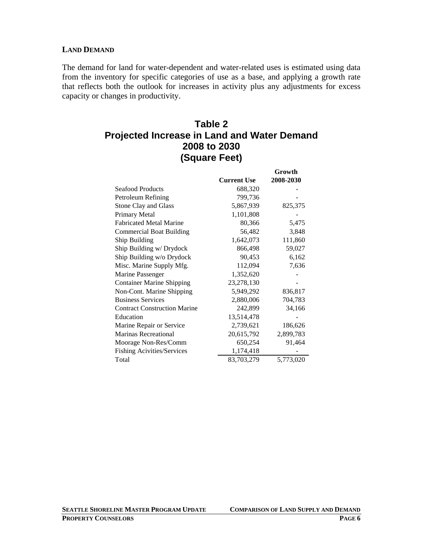#### **LAND DEMAND**

The demand for land for water-dependent and water-related uses is estimated using data from the inventory for specific categories of use as a base, and applying a growth rate that reflects both the outlook for increases in activity plus any adjustments for excess capacity or changes in productivity.

#### **Table 2 Projected Increase in Land and Water Demand 2008 to 2030 (Square Feet)**

|                                     |                    | Growth    |
|-------------------------------------|--------------------|-----------|
|                                     | <b>Current Use</b> | 2008-2030 |
| <b>Seafood Products</b>             | 688,320            |           |
| Petroleum Refining                  | 799,736            |           |
| Stone Clay and Glass                | 5,867,939          | 825,375   |
| Primary Metal                       | 1,101,808          |           |
| <b>Fabricated Metal Marine</b>      | 80,366             | 5,475     |
| <b>Commercial Boat Building</b>     | 56,482             | 3,848     |
| Ship Building                       | 1,642,073          | 111,860   |
| Ship Building w/ Drydock            | 866,498            | 59,027    |
| Ship Building w/o Drydock           | 90,453             | 6,162     |
| Misc. Marine Supply Mfg.            | 112,094            | 7,636     |
| Marine Passenger                    | 1,352,620          |           |
| <b>Container Marine Shipping</b>    | 23,278,130         |           |
| Non-Cont. Marine Shipping           | 5,949,292          | 836,817   |
| <b>Business Services</b>            | 2,880,006          | 704,783   |
| <b>Contract Construction Marine</b> | 242,899            | 34,166    |
| Education                           | 13,514,478         |           |
| Marine Repair or Service            | 2,739,621          | 186,626   |
| <b>Marinas Recreational</b>         | 20,615,792         | 2,899,783 |
| Moorage Non-Res/Comm                | 650,254            | 91,464    |
| <b>Fishing Acivities/Services</b>   | 1,174,418          |           |
| Total                               | 83,703,279         | 5,773,020 |

**SEATTLE SHORELINE MASTER PROGRAM UPDATE COMPARISON OF LAND SUPPLY AND DEMAND**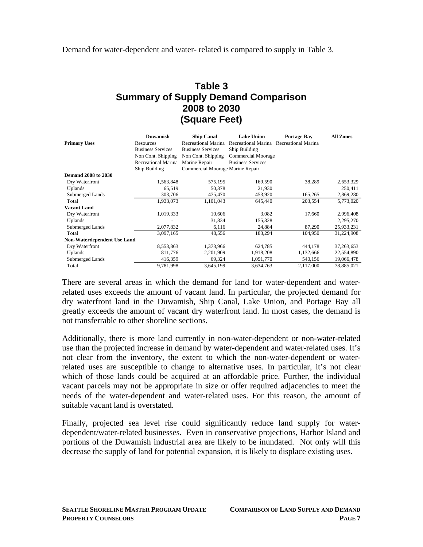Demand for water-dependent and water- related is compared to supply in Table 3.

#### **Table 3 Summary of Supply Demand Comparison 2008 to 2030 (Square Feet)**

|                                    | <b>Duwamish</b>          | <b>Ship Canal</b>                | <b>Lake Union</b>                       | <b>Portage Bay</b> | <b>All Zones</b> |
|------------------------------------|--------------------------|----------------------------------|-----------------------------------------|--------------------|------------------|
| <b>Primary Uses</b>                | Resources                | Recreational Marina              | Recreational Marina Recreational Marina |                    |                  |
|                                    | <b>Business Services</b> | <b>Business Services</b>         | Ship Building                           |                    |                  |
|                                    | Non Cont. Shipping       | Non Cont. Shipping               | Commercial Moorage                      |                    |                  |
|                                    | Recreational Marina      | Marine Repair                    | <b>Business Services</b>                |                    |                  |
|                                    | Ship Building            | Commercial Moorage Marine Repair |                                         |                    |                  |
| <b>Demand 2008 to 2030</b>         |                          |                                  |                                         |                    |                  |
| Dry Waterfront                     | 1,563,848                | 575,195                          | 169,590                                 | 38,289             | 2,653,329        |
| Uplands                            | 65,519                   | 50,378                           | 21,930                                  |                    | 250,411          |
| Submerged Lands                    | 303,706                  | 475,470                          | 453,920                                 | 165,265            | 2,869,280        |
| Total                              | 1,933,073                | 1,101,043                        | 645,440                                 | 203,554            | 5,773,020        |
| <b>Vacant Land</b>                 |                          |                                  |                                         |                    |                  |
| Dry Waterfront                     | 1,019,333                | 10,606                           | 3,082                                   | 17,660             | 2,996,408        |
| <b>Uplands</b>                     |                          | 31,834                           | 155,328                                 |                    | 2,295,270        |
| Submerged Lands                    | 2,077,832                | 6,116                            | 24,884                                  | 87,290             | 25,933,231       |
| Total                              | 3,097,165                | 48,556                           | 183,294                                 | 104,950            | 31,224,908       |
| <b>Non-Waterdependent Use Land</b> |                          |                                  |                                         |                    |                  |
| Dry Waterfront                     | 8,553,863                | 1,373,966                        | 624,785                                 | 444,178            | 37, 263, 653     |
| Uplands                            | 811,776                  | 2,201,909                        | 1,918,208                               | 1,132,666          | 22,554,890       |
| Submerged Lands                    | 416,359                  | 69,324                           | 1,091,770                               | 540,156            | 19,066,478       |
| Total                              | 9,781,998                | 3,645,199                        | 3,634,763                               | 2,117,000          | 78,885,021       |

There are several areas in which the demand for land for water-dependent and waterrelated uses exceeds the amount of vacant land. In particular, the projected demand for dry waterfront land in the Duwamish, Ship Canal, Lake Union, and Portage Bay all greatly exceeds the amount of vacant dry waterfront land. In most cases, the demand is not transferrable to other shoreline sections.

Additionally, there is more land currently in non-water-dependent or non-water-related use than the projected increase in demand by water-dependent and water-related uses. It's not clear from the inventory, the extent to which the non-water-dependent or waterrelated uses are susceptible to change to alternative uses. In particular, it's not clear which of those lands could be acquired at an affordable price. Further, the individual vacant parcels may not be appropriate in size or offer required adjacencies to meet the needs of the water-dependent and water-related uses. For this reason, the amount of suitable vacant land is overstated.

Finally, projected sea level rise could significantly reduce land supply for waterdependent/water-related businesses. Even in conservative projections, Harbor Island and portions of the Duwamish industrial area are likely to be inundated. Not only will this decrease the supply of land for potential expansion, it is likely to displace existing uses.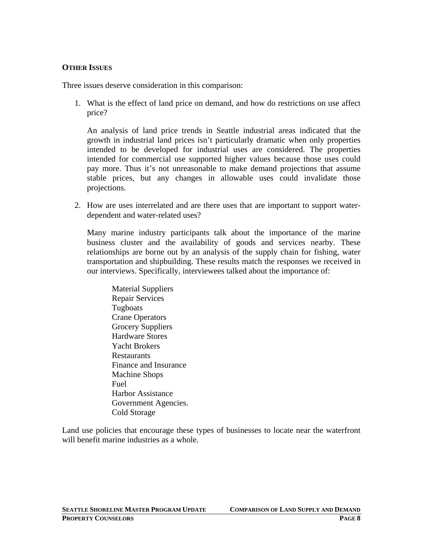#### **OTHER ISSUES**

Three issues deserve consideration in this comparison:

1. What is the effect of land price on demand, and how do restrictions on use affect price?

An analysis of land price trends in Seattle industrial areas indicated that the growth in industrial land prices isn't particularly dramatic when only properties intended to be developed for industrial uses are considered. The properties intended for commercial use supported higher values because those uses could pay more. Thus it's not unreasonable to make demand projections that assume stable prices, but any changes in allowable uses could invalidate those projections.

2. How are uses interrelated and are there uses that are important to support waterdependent and water-related uses?

Many marine industry participants talk about the importance of the marine business cluster and the availability of goods and services nearby. These relationships are borne out by an analysis of the supply chain for fishing, water transportation and shipbuilding. These results match the responses we received in our interviews. Specifically, interviewees talked about the importance of:

Material Suppliers Repair Services Tugboats Crane Operators Grocery Suppliers Hardware Stores Yacht Brokers **Restaurants** Finance and Insurance Machine Shops Fuel Harbor Assistance Government Agencies. Cold Storage

Land use policies that encourage these types of businesses to locate near the waterfront will benefit marine industries as a whole.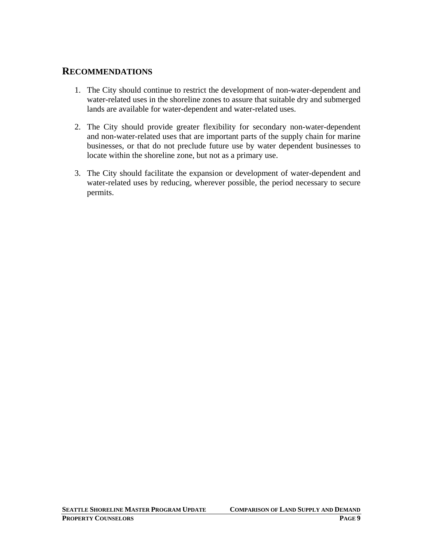#### **RECOMMENDATIONS**

- 1. The City should continue to restrict the development of non-water-dependent and water-related uses in the shoreline zones to assure that suitable dry and submerged lands are available for water-dependent and water-related uses.
- 2. The City should provide greater flexibility for secondary non-water-dependent and non-water-related uses that are important parts of the supply chain for marine businesses, or that do not preclude future use by water dependent businesses to locate within the shoreline zone, but not as a primary use.
- 3. The City should facilitate the expansion or development of water-dependent and water-related uses by reducing, wherever possible, the period necessary to secure permits.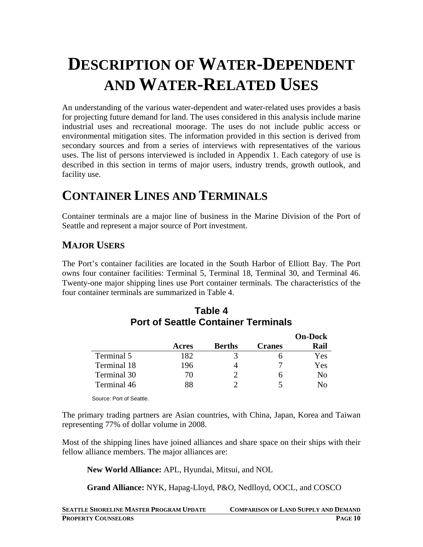# **DESCRIPTION OF WATER-DEPENDENT AND WATER-RELATED USES**

An understanding of the various water-dependent and water-related uses provides a basis for projecting future demand for land. The uses considered in this analysis include marine industrial uses and recreational moorage. The uses do not include public access or environmental mitigation sites. The information provided in this section is derived from secondary sources and from a series of interviews with representatives of the various uses. The list of persons interviewed is included in Appendix 1. Each category of use is described in this section in terms of major users, industry trends, growth outlook, and facility use.

# **CONTAINER LINES AND TERMINALS**

Container terminals are a major line of business in the Marine Division of the Port of Seattle and represent a major source of Port investment.

## **MAJOR USERS**

The Port's container facilities are located in the South Harbor of Elliott Bay. The Port owns four container facilities: Terminal 5, Terminal 18, Terminal 30, and Terminal 46. Twenty-one major shipping lines use Port container terminals. The characteristics of the four container terminals are summarized in Table 4.

|             |       |               |               | <b>On-Dock</b> |
|-------------|-------|---------------|---------------|----------------|
|             | Acres | <b>Berths</b> | <b>Cranes</b> | Rail           |
| Terminal 5  | 182   |               |               | Yes            |
| Terminal 18 | 196   |               |               | Yes            |
| Terminal 30 | 70    |               |               | No             |
| Terminal 46 |       |               |               | Nο             |

#### **Table 4 Port of Seattle Container Terminals**

Source: Port of Seattle.

The primary trading partners are Asian countries, with China, Japan, Korea and Taiwan representing 77% of dollar volume in 2008.

Most of the shipping lines have joined alliances and share space on their ships with their fellow alliance members. The major alliances are:

**New World Alliance:** APL, Hyundai, Mitsui, and NOL

**Grand Alliance:** NYK, Hapag-Lloyd, P&O, Nedlloyd, OOCL, and COSCO

| <b>SEATTLE SHORELINE MASTER PROGRAM UPDATE</b> | <b>COMPARISON OF LAND SUPPLY AND DEMAND</b> |
|------------------------------------------------|---------------------------------------------|
| <b>PROPERTY COUNSELORS</b>                     | PAGE 10                                     |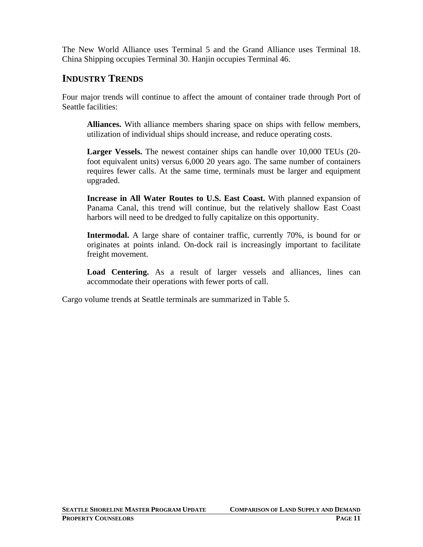The New World Alliance uses Terminal 5 and the Grand Alliance uses Terminal 18. China Shipping occupies Terminal 30. Hanjin occupies Terminal 46.

#### **INDUSTRY TRENDS**

Four major trends will continue to affect the amount of container trade through Port of Seattle facilities:

**Alliances.** With alliance members sharing space on ships with fellow members, utilization of individual ships should increase, and reduce operating costs.

**Larger Vessels.** The newest container ships can handle over 10,000 TEUs (20 foot equivalent units) versus 6,000 20 years ago. The same number of containers requires fewer calls. At the same time, terminals must be larger and equipment upgraded.

**Increase in All Water Routes to U.S. East Coast.** With planned expansion of Panama Canal, this trend will continue, but the relatively shallow East Coast harbors will need to be dredged to fully capitalize on this opportunity.

**Intermodal.** A large share of container traffic, currently 70%, is bound for or originates at points inland. On-dock rail is increasingly important to facilitate freight movement.

**Load Centering.** As a result of larger vessels and alliances, lines can accommodate their operations with fewer ports of call.

Cargo volume trends at Seattle terminals are summarized in Table 5.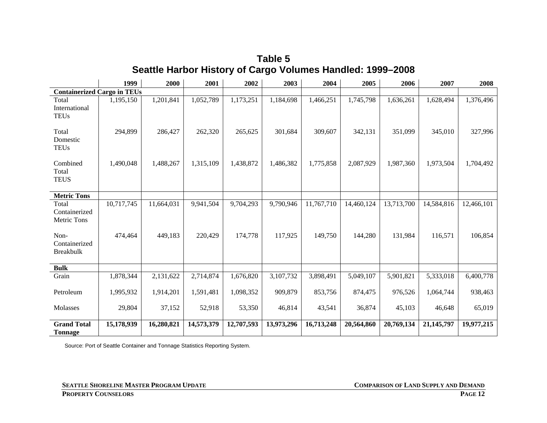|                                              | 1999       | 2000       | 2001       | 2002       | 2003       | 2004       | 2005       | 2006       | 2007         | 2008       |
|----------------------------------------------|------------|------------|------------|------------|------------|------------|------------|------------|--------------|------------|
| <b>Containerized Cargo in TEUs</b>           |            |            |            |            |            |            |            |            |              |            |
| Total<br>International<br><b>TEUs</b>        | 1,195,150  | 1,201,841  | 1,052,789  | 1,173,251  | 1,184,698  | 1,466,251  | 1,745,798  | 1,636,261  | 1,628,494    | 1,376,496  |
| Total<br>Domestic<br><b>TEUs</b>             | 294,899    | 286,427    | 262,320    | 265,625    | 301,684    | 309,607    | 342,131    | 351,099    | 345,010      | 327,996    |
| Combined<br>Total<br><b>TEUS</b>             | 1,490,048  | 1,488,267  | 1,315,109  | 1,438,872  | 1,486,382  | 1,775,858  | 2,087,929  | 1,987,360  | 1,973,504    | 1,704,492  |
| <b>Metric Tons</b>                           |            |            |            |            |            |            |            |            |              |            |
| Total<br>Containerized<br><b>Metric Tons</b> | 10,717,745 | 11,664,031 | 9,941,504  | 9,704,293  | 9,790,946  | 11,767,710 | 14,460,124 | 13,713,700 | 14,584,816   | 12,466,101 |
| Non-<br>Containerized<br><b>Breakbulk</b>    | 474,464    | 449,183    | 220,429    | 174,778    | 117,925    | 149,750    | 144,280    | 131,984    | 116,571      | 106,854    |
| <b>Bulk</b>                                  |            |            |            |            |            |            |            |            |              |            |
| Grain                                        | 1,878,344  | 2,131,622  | 2,714,874  | 1,676,820  | 3,107,732  | 3,898,491  | 5,049,107  | 5,901,821  | 5,333,018    | 6,400,778  |
| Petroleum                                    | 1,995,932  | 1,914,201  | 1,591,481  | 1,098,352  | 909,879    | 853,756    | 874,475    | 976,526    | 1,064,744    | 938,463    |
| Molasses                                     | 29,804     | 37,152     | 52,918     | 53,350     | 46,814     | 43,541     | 36,874     | 45,103     | 46,648       | 65,019     |
| <b>Grand Total</b><br><b>Tonnage</b>         | 15,178,939 | 16,280,821 | 14,573,379 | 12,707,593 | 13,973,296 | 16,713,248 | 20,564,860 | 20,769,134 | 21, 145, 797 | 19,977,215 |

**Table 5 Seattle Harbor History of Cargo Volumes Handled: 1999–2008** 

Source: Port of Seattle Container and Tonnage Statistics Reporting System.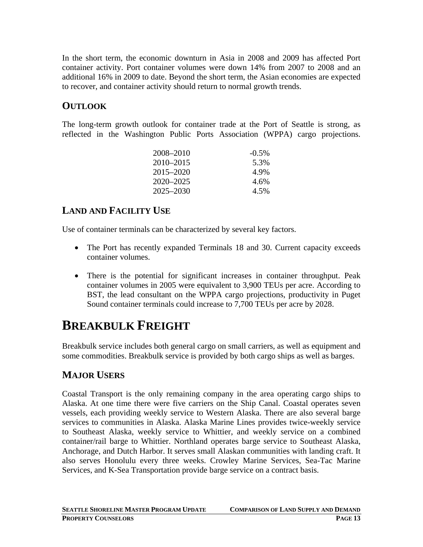In the short term, the economic downturn in Asia in 2008 and 2009 has affected Port container activity. Port container volumes were down 14% from 2007 to 2008 and an additional 16% in 2009 to date. Beyond the short term, the Asian economies are expected to recover, and container activity should return to normal growth trends.

## **OUTLOOK**

The long-term growth outlook for container trade at the Port of Seattle is strong, as reflected in the Washington Public Ports Association (WPPA) cargo projections.

| 2008–2010     | $-0.5\%$ |
|---------------|----------|
| 2010–2015     | 5.3%     |
| $2015 - 2020$ | 4.9%     |
| 2020–2025     | 4.6%     |
| 2025–2030     | 4.5%     |

## **LAND AND FACILITY USE**

Use of container terminals can be characterized by several key factors.

- The Port has recently expanded Terminals 18 and 30. Current capacity exceeds container volumes.
- There is the potential for significant increases in container throughput. Peak container volumes in 2005 were equivalent to 3,900 TEUs per acre. According to BST, the lead consultant on the WPPA cargo projections, productivity in Puget Sound container terminals could increase to 7,700 TEUs per acre by 2028.

# **BREAKBULK FREIGHT**

Breakbulk service includes both general cargo on small carriers, as well as equipment and some commodities. Breakbulk service is provided by both cargo ships as well as barges.

## **MAJOR USERS**

Coastal Transport is the only remaining company in the area operating cargo ships to Alaska. At one time there were five carriers on the Ship Canal. Coastal operates seven vessels, each providing weekly service to Western Alaska. There are also several barge services to communities in Alaska. Alaska Marine Lines provides twice-weekly service to Southeast Alaska, weekly service to Whittier, and weekly service on a combined container/rail barge to Whittier. Northland operates barge service to Southeast Alaska, Anchorage, and Dutch Harbor. It serves small Alaskan communities with landing craft. It also serves Honolulu every three weeks. Crowley Marine Services, Sea-Tac Marine Services, and K-Sea Transportation provide barge service on a contract basis.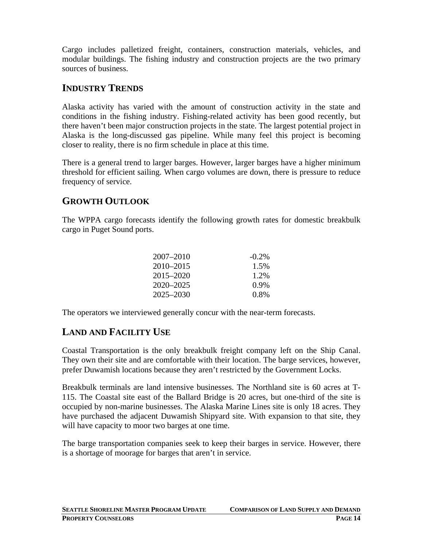Cargo includes palletized freight, containers, construction materials, vehicles, and modular buildings. The fishing industry and construction projects are the two primary sources of business.

## **INDUSTRY TRENDS**

Alaska activity has varied with the amount of construction activity in the state and conditions in the fishing industry. Fishing-related activity has been good recently, but there haven't been major construction projects in the state. The largest potential project in Alaska is the long-discussed gas pipeline. While many feel this project is becoming closer to reality, there is no firm schedule in place at this time.

There is a general trend to larger barges. However, larger barges have a higher minimum threshold for efficient sailing. When cargo volumes are down, there is pressure to reduce frequency of service.

## **GROWTH OUTLOOK**

The WPPA cargo forecasts identify the following growth rates for domestic breakbulk cargo in Puget Sound ports.

| $2007 - 2010$ | $-0.2\%$ |
|---------------|----------|
| $2010 - 2015$ | 1.5%     |
| 2015–2020     | 1.2%     |
| 2020–2025     | $0.9\%$  |
| 2025–2030     | $0.8\%$  |

The operators we interviewed generally concur with the near-term forecasts.

## **LAND AND FACILITY USE**

Coastal Transportation is the only breakbulk freight company left on the Ship Canal. They own their site and are comfortable with their location. The barge services, however, prefer Duwamish locations because they aren't restricted by the Government Locks.

Breakbulk terminals are land intensive businesses. The Northland site is 60 acres at T-115. The Coastal site east of the Ballard Bridge is 20 acres, but one-third of the site is occupied by non-marine businesses. The Alaska Marine Lines site is only 18 acres. They have purchased the adjacent Duwamish Shipyard site. With expansion to that site, they will have capacity to moor two barges at one time.

The barge transportation companies seek to keep their barges in service. However, there is a shortage of moorage for barges that aren't in service.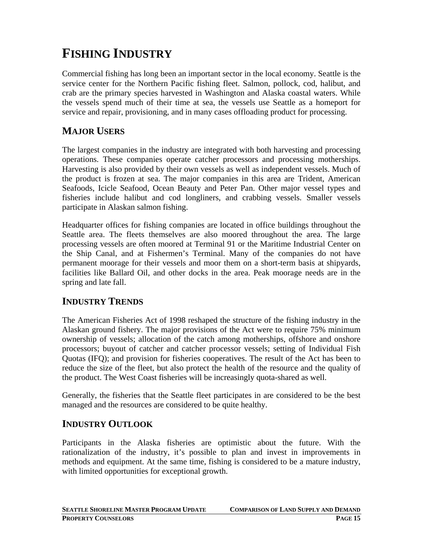# **FISHING INDUSTRY**

Commercial fishing has long been an important sector in the local economy. Seattle is the service center for the Northern Pacific fishing fleet. Salmon, pollock, cod, halibut, and crab are the primary species harvested in Washington and Alaska coastal waters. While the vessels spend much of their time at sea, the vessels use Seattle as a homeport for service and repair, provisioning, and in many cases offloading product for processing.

## **MAJOR USERS**

The largest companies in the industry are integrated with both harvesting and processing operations. These companies operate catcher processors and processing motherships. Harvesting is also provided by their own vessels as well as independent vessels. Much of the product is frozen at sea. The major companies in this area are Trident, American Seafoods, Icicle Seafood, Ocean Beauty and Peter Pan. Other major vessel types and fisheries include halibut and cod longliners, and crabbing vessels. Smaller vessels participate in Alaskan salmon fishing.

Headquarter offices for fishing companies are located in office buildings throughout the Seattle area. The fleets themselves are also moored throughout the area. The large processing vessels are often moored at Terminal 91 or the Maritime Industrial Center on the Ship Canal, and at Fishermen's Terminal. Many of the companies do not have permanent moorage for their vessels and moor them on a short-term basis at shipyards, facilities like Ballard Oil, and other docks in the area. Peak moorage needs are in the spring and late fall.

#### **INDUSTRY TRENDS**

The American Fisheries Act of 1998 reshaped the structure of the fishing industry in the Alaskan ground fishery. The major provisions of the Act were to require 75% minimum ownership of vessels; allocation of the catch among motherships, offshore and onshore processors; buyout of catcher and catcher processor vessels; setting of Individual Fish Quotas (IFQ); and provision for fisheries cooperatives. The result of the Act has been to reduce the size of the fleet, but also protect the health of the resource and the quality of the product. The West Coast fisheries will be increasingly quota-shared as well.

Generally, the fisheries that the Seattle fleet participates in are considered to be the best managed and the resources are considered to be quite healthy.

#### **INDUSTRY OUTLOOK**

Participants in the Alaska fisheries are optimistic about the future. With the rationalization of the industry, it's possible to plan and invest in improvements in methods and equipment. At the same time, fishing is considered to be a mature industry, with limited opportunities for exceptional growth.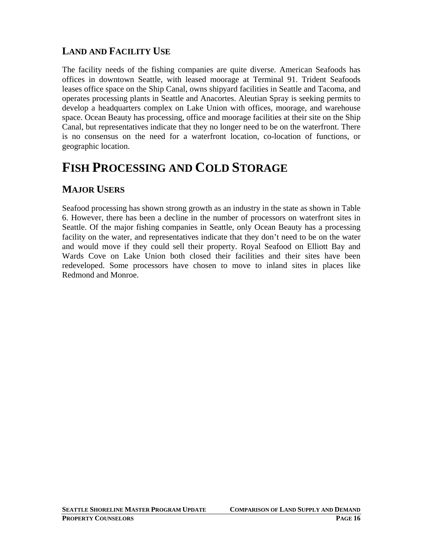## **LAND AND FACILITY USE**

The facility needs of the fishing companies are quite diverse. American Seafoods has offices in downtown Seattle, with leased moorage at Terminal 91. Trident Seafoods leases office space on the Ship Canal, owns shipyard facilities in Seattle and Tacoma, and operates processing plants in Seattle and Anacortes. Aleutian Spray is seeking permits to develop a headquarters complex on Lake Union with offices, moorage, and warehouse space. Ocean Beauty has processing, office and moorage facilities at their site on the Ship Canal, but representatives indicate that they no longer need to be on the waterfront. There is no consensus on the need for a waterfront location, co-location of functions, or geographic location.

# **FISH PROCESSING AND COLD STORAGE**

## **MAJOR USERS**

Seafood processing has shown strong growth as an industry in the state as shown in Table 6. However, there has been a decline in the number of processors on waterfront sites in Seattle. Of the major fishing companies in Seattle, only Ocean Beauty has a processing facility on the water, and representatives indicate that they don't need to be on the water and would move if they could sell their property. Royal Seafood on Elliott Bay and Wards Cove on Lake Union both closed their facilities and their sites have been redeveloped. Some processors have chosen to move to inland sites in places like Redmond and Monroe.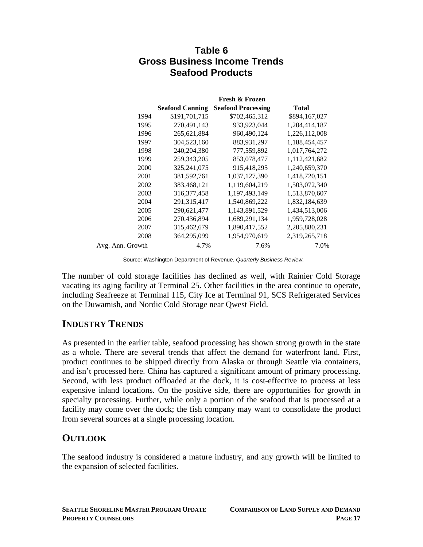#### **Table 6 Gross Business Income Trends Seafood Products**

|                  | <b>Fresh &amp; Frozen</b> |                           |                  |  |  |  |
|------------------|---------------------------|---------------------------|------------------|--|--|--|
|                  | <b>Seafood Canning</b>    | <b>Seafood Processing</b> | <b>Total</b>     |  |  |  |
| 1994             | \$191,701,715             | \$702,465,312             | \$894,167,027    |  |  |  |
| 1995             | 270,491,143               | 933,923,044               | 1,204,414,187    |  |  |  |
| 1996             | 265, 621, 884             | 960,490,124               | 1,226,112,008    |  |  |  |
| 1997             | 304,523,160               | 883,931,297               | 1,188,454,457    |  |  |  |
| 1998             | 240, 204, 380             | 777,559,892               | 1,017,764,272    |  |  |  |
| 1999             | 259, 343, 205             | 853,078,477               | 1,112,421,682    |  |  |  |
| 2000             | 325, 241, 075             | 915,418,295               | 1,240,659,370    |  |  |  |
| 2001             | 381,592,761               | 1,037,127,390             | 1,418,720,151    |  |  |  |
| 2002             | 383,468,121               | 1,119,604,219             | 1,503,072,340    |  |  |  |
| 2003             | 316, 377, 458             | 1,197,493,149             | 1,513,870,607    |  |  |  |
| 2004             | 291, 315, 417             | 1,540,869,222             | 1,832,184,639    |  |  |  |
| 2005             | 290,621,477               | 1,143,891,529             | 1,434,513,006    |  |  |  |
| 2006             | 270,436,894               | 1,689,291,134             | 1,959,728,028    |  |  |  |
| 2007             | 315,462,679               | 1,890,417,552             | 2, 205, 880, 231 |  |  |  |
| 2008             | 364,295,099               | 1,954,970,619             | 2,319,265,718    |  |  |  |
| Avg. Ann. Growth | 4.7%                      | 7.6%                      | 7.0%             |  |  |  |

Source: Washington Department of Revenue, *Quarterly Business Review.*

The number of cold storage facilities has declined as well, with Rainier Cold Storage vacating its aging facility at Terminal 25. Other facilities in the area continue to operate, including Seafreeze at Terminal 115, City Ice at Terminal 91, SCS Refrigerated Services on the Duwamish, and Nordic Cold Storage near Qwest Field.

## **INDUSTRY TRENDS**

As presented in the earlier table, seafood processing has shown strong growth in the state as a whole. There are several trends that affect the demand for waterfront land. First, product continues to be shipped directly from Alaska or through Seattle via containers, and isn't processed here. China has captured a significant amount of primary processing. Second, with less product offloaded at the dock, it is cost-effective to process at less expensive inland locations. On the positive side, there are opportunities for growth in specialty processing. Further, while only a portion of the seafood that is processed at a facility may come over the dock; the fish company may want to consolidate the product from several sources at a single processing location.

#### **OUTLOOK**

The seafood industry is considered a mature industry, and any growth will be limited to the expansion of selected facilities.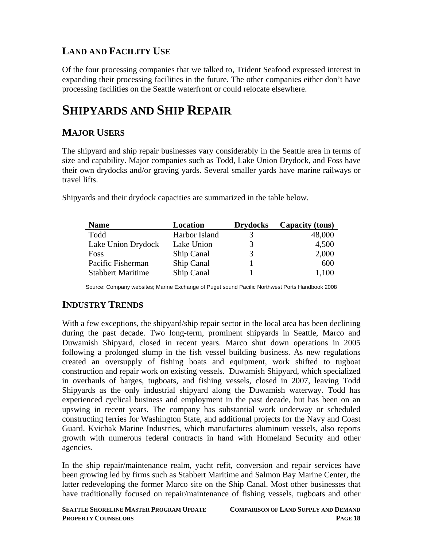## **LAND AND FACILITY USE**

Of the four processing companies that we talked to, Trident Seafood expressed interest in expanding their processing facilities in the future. The other companies either don't have processing facilities on the Seattle waterfront or could relocate elsewhere.

# **SHIPYARDS AND SHIP REPAIR**

## **MAJOR USERS**

The shipyard and ship repair businesses vary considerably in the Seattle area in terms of size and capability. Major companies such as Todd, Lake Union Drydock, and Foss have their own drydocks and/or graving yards. Several smaller yards have marine railways or travel lifts.

| <b>Name</b>              | Location      | <b>Drydocks</b> | Capacity (tons) |
|--------------------------|---------------|-----------------|-----------------|
| Todd                     | Harbor Island | $\mathcal{R}$   | 48,000          |
| Lake Union Drydock       | Lake Union    |                 | 4,500           |
| <b>Foss</b>              | Ship Canal    |                 | 2,000           |
| Pacific Fisherman        | Ship Canal    |                 | 600             |
| <b>Stabbert Maritime</b> | Ship Canal    |                 | 1,100           |

Shipyards and their drydock capacities are summarized in the table below.

Source: Company websites; Marine Exchange of Puget sound Pacific Northwest Ports Handbook 2008

## **INDUSTRY TRENDS**

With a few exceptions, the shipyard/ship repair sector in the local area has been declining during the past decade. Two long-term, prominent shipyards in Seattle, Marco and Duwamish Shipyard, closed in recent years. Marco shut down operations in 2005 following a prolonged slump in the fish vessel building business. As new regulations created an oversupply of fishing boats and equipment, work shifted to tugboat construction and repair work on existing vessels. Duwamish Shipyard, which specialized in overhauls of barges, tugboats, and fishing vessels, closed in 2007, leaving Todd Shipyards as the only industrial shipyard along the Duwamish waterway. Todd has experienced cyclical business and employment in the past decade, but has been on an upswing in recent years. The company has substantial work underway or scheduled constructing ferries for Washington State, and additional projects for the Navy and Coast Guard. Kvichak Marine Industries, which manufactures aluminum vessels, also reports growth with numerous federal contracts in hand with Homeland Security and other agencies.

In the ship repair/maintenance realm, yacht refit, conversion and repair services have been growing led by firms such as Stabbert Maritime and Salmon Bay Marine Center, the latter redeveloping the former Marco site on the Ship Canal. Most other businesses that have traditionally focused on repair/maintenance of fishing vessels, tugboats and other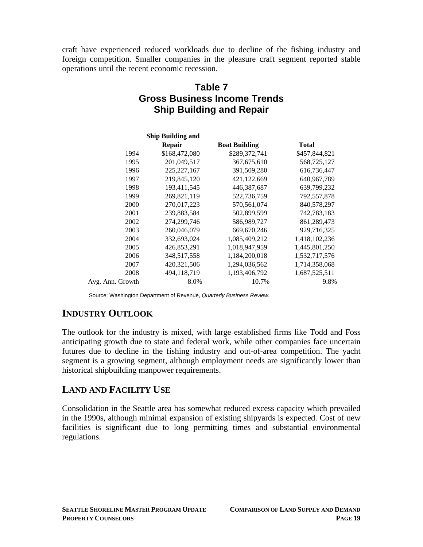craft have experienced reduced workloads due to decline of the fishing industry and foreign competition. Smaller companies in the pleasure craft segment reported stable operations until the recent economic recession.

## **Table 7 Gross Business Income Trends Ship Building and Repair**

|                  | <b>Ship Building and</b> |                      |               |
|------------------|--------------------------|----------------------|---------------|
|                  | <b>Repair</b>            | <b>Boat Building</b> | <b>Total</b>  |
| 1994             | \$168,472,080            | \$289,372,741        | \$457,844,821 |
| 1995             | 201,049,517              | 367, 675, 610        | 568,725,127   |
| 1996             | 225, 227, 167            | 391,509,280          | 616,736,447   |
| 1997             | 219,845,120              | 421,122,669          | 640, 967, 789 |
| 1998             | 193,411,545              | 446, 387, 687        | 639,799,232   |
| 1999             | 269,821,119              | 522,736,759          | 792,557,878   |
| 2000             | 270,017,223              | 570,561,074          | 840,578,297   |
| 2001             | 239,883,584              | 502,899,599          | 742,783,183   |
| 2002             | 274,299,746              | 586,989,727          | 861,289,473   |
| 2003             | 260,046,079              | 669, 670, 246        | 929,716,325   |
| 2004             | 332,693,024              | 1,085,409,212        | 1,418,102,236 |
| 2005             | 426,853,291              | 1,018,947,959        | 1,445,801,250 |
| 2006             | 348,517,558              | 1,184,200,018        | 1,532,717,576 |
| 2007             | 420,321,506              | 1,294,036,562        | 1,714,358,068 |
| 2008             | 494,118,719              | 1,193,406,792        | 1,687,525,511 |
| Avg. Ann. Growth | 8.0%                     | 10.7%                | 9.8%          |

Source: Washington Department of Revenue, *Quarterly Business Review.* 

## **INDUSTRY OUTLOOK**

The outlook for the industry is mixed, with large established firms like Todd and Foss anticipating growth due to state and federal work, while other companies face uncertain futures due to decline in the fishing industry and out-of-area competition. The yacht segment is a growing segment, although employment needs are significantly lower than historical shipbuilding manpower requirements.

## **LAND AND FACILITY USE**

Consolidation in the Seattle area has somewhat reduced excess capacity which prevailed in the 1990s, although minimal expansion of existing shipyards is expected. Cost of new facilities is significant due to long permitting times and substantial environmental regulations.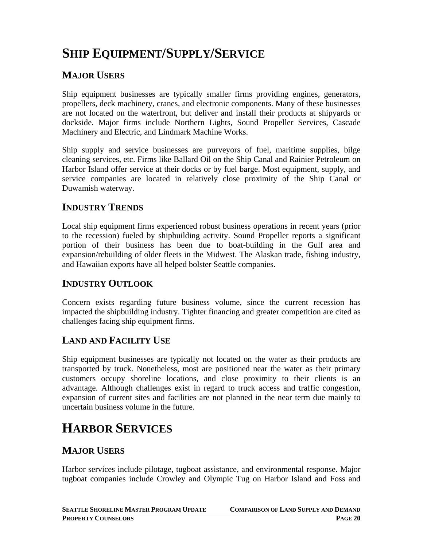# **SHIP EQUIPMENT/SUPPLY/SERVICE**

## **MAJOR USERS**

Ship equipment businesses are typically smaller firms providing engines, generators, propellers, deck machinery, cranes, and electronic components. Many of these businesses are not located on the waterfront, but deliver and install their products at shipyards or dockside. Major firms include Northern Lights, Sound Propeller Services, Cascade Machinery and Electric, and Lindmark Machine Works.

Ship supply and service businesses are purveyors of fuel, maritime supplies, bilge cleaning services, etc. Firms like Ballard Oil on the Ship Canal and Rainier Petroleum on Harbor Island offer service at their docks or by fuel barge. Most equipment, supply, and service companies are located in relatively close proximity of the Ship Canal or Duwamish waterway.

#### **INDUSTRY TRENDS**

Local ship equipment firms experienced robust business operations in recent years (prior to the recession) fueled by shipbuilding activity. Sound Propeller reports a significant portion of their business has been due to boat-building in the Gulf area and expansion/rebuilding of older fleets in the Midwest. The Alaskan trade, fishing industry, and Hawaiian exports have all helped bolster Seattle companies.

#### **INDUSTRY OUTLOOK**

Concern exists regarding future business volume, since the current recession has impacted the shipbuilding industry. Tighter financing and greater competition are cited as challenges facing ship equipment firms.

## **LAND AND FACILITY USE**

Ship equipment businesses are typically not located on the water as their products are transported by truck. Nonetheless, most are positioned near the water as their primary customers occupy shoreline locations, and close proximity to their clients is an advantage. Although challenges exist in regard to truck access and traffic congestion, expansion of current sites and facilities are not planned in the near term due mainly to uncertain business volume in the future.

# **HARBOR SERVICES**

## **MAJOR USERS**

Harbor services include pilotage, tugboat assistance, and environmental response. Major tugboat companies include Crowley and Olympic Tug on Harbor Island and Foss and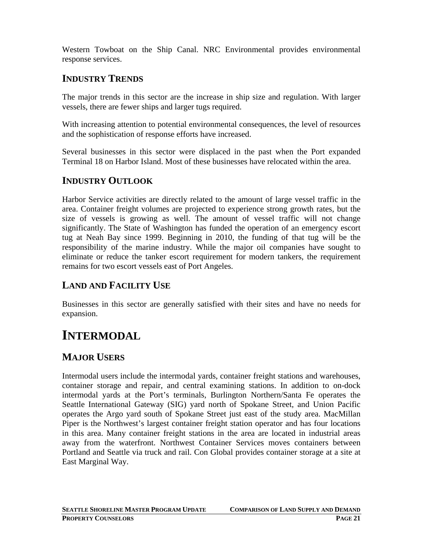Western Towboat on the Ship Canal. NRC Environmental provides environmental response services.

## **INDUSTRY TRENDS**

The major trends in this sector are the increase in ship size and regulation. With larger vessels, there are fewer ships and larger tugs required.

With increasing attention to potential environmental consequences, the level of resources and the sophistication of response efforts have increased.

Several businesses in this sector were displaced in the past when the Port expanded Terminal 18 on Harbor Island. Most of these businesses have relocated within the area.

#### **INDUSTRY OUTLOOK**

Harbor Service activities are directly related to the amount of large vessel traffic in the area. Container freight volumes are projected to experience strong growth rates, but the size of vessels is growing as well. The amount of vessel traffic will not change significantly. The State of Washington has funded the operation of an emergency escort tug at Neah Bay since 1999. Beginning in 2010, the funding of that tug will be the responsibility of the marine industry. While the major oil companies have sought to eliminate or reduce the tanker escort requirement for modern tankers, the requirement remains for two escort vessels east of Port Angeles.

## **LAND AND FACILITY USE**

Businesses in this sector are generally satisfied with their sites and have no needs for expansion.

# **INTERMODAL**

## **MAJOR USERS**

Intermodal users include the intermodal yards, container freight stations and warehouses, container storage and repair, and central examining stations. In addition to on-dock intermodal yards at the Port's terminals, Burlington Northern/Santa Fe operates the Seattle International Gateway (SIG) yard north of Spokane Street, and Union Pacific operates the Argo yard south of Spokane Street just east of the study area. MacMillan Piper is the Northwest's largest container freight station operator and has four locations in this area. Many container freight stations in the area are located in industrial areas away from the waterfront. Northwest Container Services moves containers between Portland and Seattle via truck and rail. Con Global provides container storage at a site at East Marginal Way.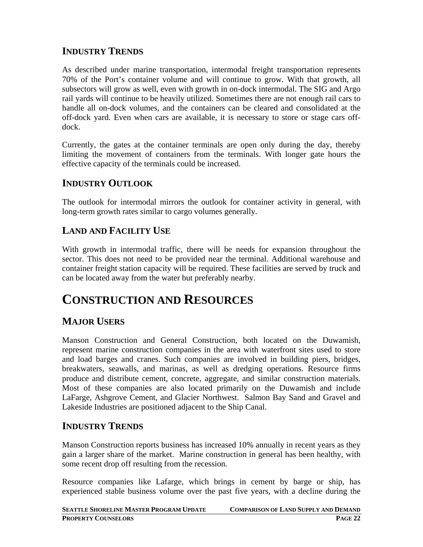## **INDUSTRY TRENDS**

As described under marine transportation, intermodal freight transportation represents 70% of the Port's container volume and will continue to grow. With that growth, all subsectors will grow as well, even with growth in on-dock intermodal. The SIG and Argo rail yards will continue to be heavily utilized. Sometimes there are not enough rail cars to handle all on-dock volumes, and the containers can be cleared and consolidated at the off-dock yard. Even when cars are available, it is necessary to store or stage cars offdock.

Currently, the gates at the container terminals are open only during the day, thereby limiting the movement of containers from the terminals. With longer gate hours the effective capacity of the terminals could be increased.

#### **INDUSTRY OUTLOOK**

The outlook for intermodal mirrors the outlook for container activity in general, with long-term growth rates similar to cargo volumes generally.

#### **LAND AND FACILITY USE**

With growth in intermodal traffic, there will be needs for expansion throughout the sector. This does not need to be provided near the terminal. Additional warehouse and container freight station capacity will be required. These facilities are served by truck and can be located away from the water but preferably nearby.

# **CONSTRUCTION AND RESOURCES**

#### **MAJOR USERS**

Manson Construction and General Construction, both located on the Duwamish, represent marine construction companies in the area with waterfront sites used to store and load barges and cranes. Such companies are involved in building piers, bridges, breakwaters, seawalls, and marinas, as well as dredging operations. Resource firms produce and distribute cement, concrete, aggregate, and similar construction materials. Most of these companies are also located primarily on the Duwamish and include LaFarge, Ashgrove Cement, and Glacier Northwest. Salmon Bay Sand and Gravel and Lakeside Industries are positioned adjacent to the Ship Canal.

#### **INDUSTRY TRENDS**

Manson Construction reports business has increased 10% annually in recent years as they gain a larger share of the market. Marine construction in general has been healthy, with some recent drop off resulting from the recession.

Resource companies like Lafarge, which brings in cement by barge or ship, has experienced stable business volume over the past five years, with a decline during the

| <b>SEATTLE SHORELINE MASTER PROGRAM UPDATE</b> | <b>COMPARISON OF LAND SUPPLY AND DEMAND</b> |
|------------------------------------------------|---------------------------------------------|
| <b>PROPERTY COUNSELORS</b>                     | <b>PAGE 22</b>                              |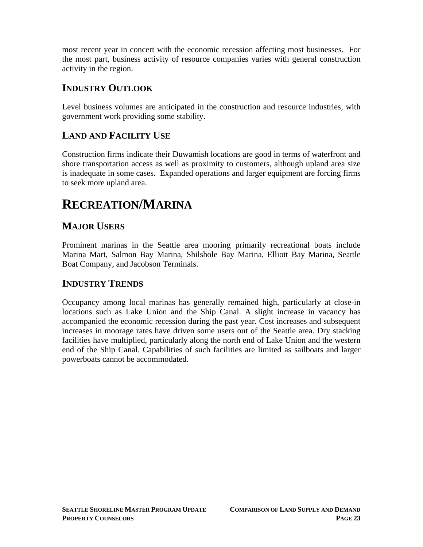most recent year in concert with the economic recession affecting most businesses. For the most part, business activity of resource companies varies with general construction activity in the region.

## **INDUSTRY OUTLOOK**

Level business volumes are anticipated in the construction and resource industries, with government work providing some stability.

#### **LAND AND FACILITY USE**

Construction firms indicate their Duwamish locations are good in terms of waterfront and shore transportation access as well as proximity to customers, although upland area size is inadequate in some cases. Expanded operations and larger equipment are forcing firms to seek more upland area.

# **RECREATION/MARINA**

#### **MAJOR USERS**

Prominent marinas in the Seattle area mooring primarily recreational boats include Marina Mart, Salmon Bay Marina, Shilshole Bay Marina, Elliott Bay Marina, Seattle Boat Company, and Jacobson Terminals.

#### **INDUSTRY TRENDS**

Occupancy among local marinas has generally remained high, particularly at close-in locations such as Lake Union and the Ship Canal. A slight increase in vacancy has accompanied the economic recession during the past year. Cost increases and subsequent increases in moorage rates have driven some users out of the Seattle area. Dry stacking facilities have multiplied, particularly along the north end of Lake Union and the western end of the Ship Canal. Capabilities of such facilities are limited as sailboats and larger powerboats cannot be accommodated.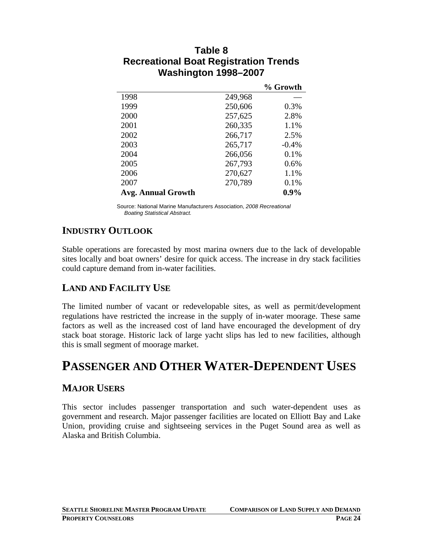|                           |         | % Growth |
|---------------------------|---------|----------|
| 1998                      | 249,968 |          |
| 1999                      | 250,606 | 0.3%     |
| 2000                      | 257,625 | 2.8%     |
| 2001                      | 260,335 | 1.1%     |
| 2002                      | 266,717 | 2.5%     |
| 2003                      | 265,717 | $-0.4%$  |
| 2004                      | 266,056 | 0.1%     |
| 2005                      | 267,793 | $0.6\%$  |
| 2006                      | 270,627 | 1.1%     |
| 2007                      | 270,789 | 0.1%     |
| <b>Avg. Annual Growth</b> |         | $0.9\%$  |

#### **Table 8 Recreational Boat Registration Trends Washington 1998–2007**

Source: National Marine Manufacturers Association, *2008 Recreational Boating Statistical Abstract.* 

## **INDUSTRY OUTLOOK**

Stable operations are forecasted by most marina owners due to the lack of developable sites locally and boat owners' desire for quick access. The increase in dry stack facilities could capture demand from in-water facilities.

## **LAND AND FACILITY USE**

The limited number of vacant or redevelopable sites, as well as permit/development regulations have restricted the increase in the supply of in-water moorage. These same factors as well as the increased cost of land have encouraged the development of dry stack boat storage. Historic lack of large yacht slips has led to new facilities, although this is small segment of moorage market.

# **PASSENGER AND OTHER WATER-DEPENDENT USES**

#### **MAJOR USERS**

This sector includes passenger transportation and such water-dependent uses as government and research. Major passenger facilities are located on Elliott Bay and Lake Union, providing cruise and sightseeing services in the Puget Sound area as well as Alaska and British Columbia.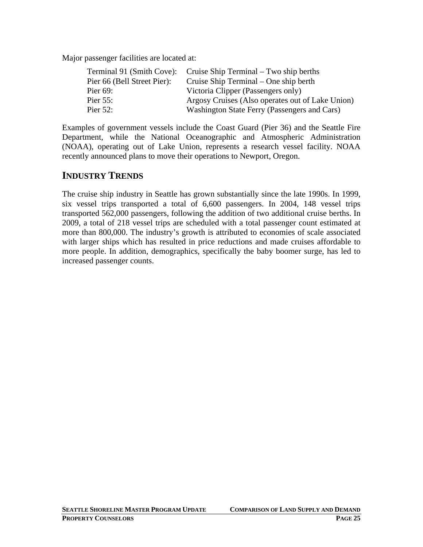Major passenger facilities are located at:

| Terminal 91 (Smith Cove): Cruise Ship Terminal – Two ship berths |
|------------------------------------------------------------------|
| Cruise Ship Terminal – One ship berth                            |
| Victoria Clipper (Passengers only)                               |
| Argosy Cruises (Also operates out of Lake Union)                 |
| Washington State Ferry (Passengers and Cars)                     |
|                                                                  |

Examples of government vessels include the Coast Guard (Pier 36) and the Seattle Fire Department, while the National Oceanographic and Atmospheric Administration (NOAA), operating out of Lake Union, represents a research vessel facility. NOAA recently announced plans to move their operations to Newport, Oregon.

#### **INDUSTRY TRENDS**

The cruise ship industry in Seattle has grown substantially since the late 1990s. In 1999, six vessel trips transported a total of 6,600 passengers. In 2004, 148 vessel trips transported 562,000 passengers, following the addition of two additional cruise berths. In 2009, a total of 218 vessel trips are scheduled with a total passenger count estimated at more than 800,000. The industry's growth is attributed to economies of scale associated with larger ships which has resulted in price reductions and made cruises affordable to more people. In addition, demographics, specifically the baby boomer surge, has led to increased passenger counts.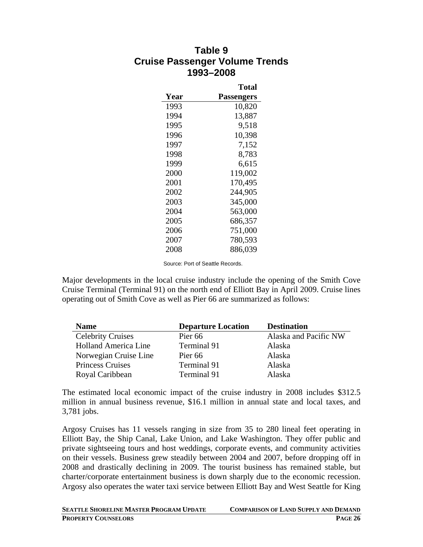#### **Table 9 Cruise Passenger Volume Trends 1993–2008**

|      | Total             |
|------|-------------------|
| Year | <b>Passengers</b> |
| 1993 | 10,820            |
| 1994 | 13,887            |
| 1995 | 9,518             |
| 1996 | 10,398            |
| 1997 | 7,152             |
| 1998 | 8,783             |
| 1999 | 6,615             |
| 2000 | 119,002           |
| 2001 | 170,495           |
| 2002 | 244,905           |
| 2003 | 345,000           |
| 2004 | 563,000           |
| 2005 | 686,357           |
| 2006 | 751,000           |
| 2007 | 780,593           |
| 2008 | 886,039           |

Source: Port of Seattle Records.

Major developments in the local cruise industry include the opening of the Smith Cove Cruise Terminal (Terminal 91) on the north end of Elliott Bay in April 2009. Cruise lines operating out of Smith Cove as well as Pier 66 are summarized as follows:

| <b>Name</b>                 | <b>Departure Location</b> | <b>Destination</b>    |
|-----------------------------|---------------------------|-----------------------|
| <b>Celebrity Cruises</b>    | Pier <sub>66</sub>        | Alaska and Pacific NW |
| <b>Holland America Line</b> | Terminal 91               | Alaska                |
| Norwegian Cruise Line       | Pier <sub>66</sub>        | Alaska                |
| <b>Princess Cruises</b>     | Terminal 91               | Alaska                |
| Royal Caribbean             | Terminal 91               | Alaska                |

The estimated local economic impact of the cruise industry in 2008 includes \$312.5 million in annual business revenue, \$16.1 million in annual state and local taxes, and 3,781 jobs.

Argosy Cruises has 11 vessels ranging in size from 35 to 280 lineal feet operating in Elliott Bay, the Ship Canal, Lake Union, and Lake Washington. They offer public and private sightseeing tours and host weddings, corporate events, and community activities on their vessels. Business grew steadily between 2004 and 2007, before dropping off in 2008 and drastically declining in 2009. The tourist business has remained stable, but charter/corporate entertainment business is down sharply due to the economic recession. Argosy also operates the water taxi service between Elliott Bay and West Seattle for King

| <b>SEATTLE SHORELINE MASTER PROGRAM UPDATE</b> | <b>COMPARISON OF LAND SUPPLY AND DEMAND</b> |
|------------------------------------------------|---------------------------------------------|
| <b>PROPERTY COUNSELORS</b>                     | <b>PAGE 26</b>                              |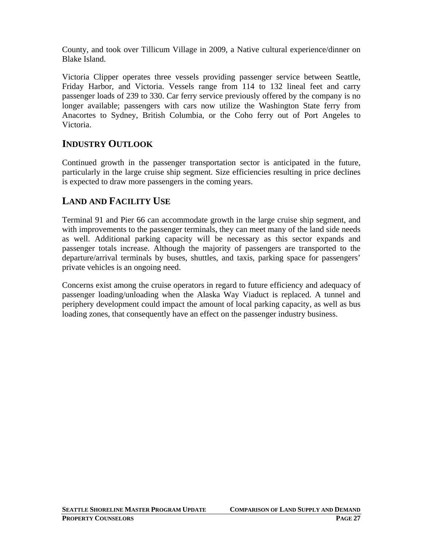County, and took over Tillicum Village in 2009, a Native cultural experience/dinner on Blake Island.

Victoria Clipper operates three vessels providing passenger service between Seattle, Friday Harbor, and Victoria. Vessels range from 114 to 132 lineal feet and carry passenger loads of 239 to 330. Car ferry service previously offered by the company is no longer available; passengers with cars now utilize the Washington State ferry from Anacortes to Sydney, British Columbia, or the Coho ferry out of Port Angeles to Victoria.

## **INDUSTRY OUTLOOK**

Continued growth in the passenger transportation sector is anticipated in the future, particularly in the large cruise ship segment. Size efficiencies resulting in price declines is expected to draw more passengers in the coming years.

## **LAND AND FACILITY USE**

Terminal 91 and Pier 66 can accommodate growth in the large cruise ship segment, and with improvements to the passenger terminals, they can meet many of the land side needs as well. Additional parking capacity will be necessary as this sector expands and passenger totals increase. Although the majority of passengers are transported to the departure/arrival terminals by buses, shuttles, and taxis, parking space for passengers' private vehicles is an ongoing need.

Concerns exist among the cruise operators in regard to future efficiency and adequacy of passenger loading/unloading when the Alaska Way Viaduct is replaced. A tunnel and periphery development could impact the amount of local parking capacity, as well as bus loading zones, that consequently have an effect on the passenger industry business.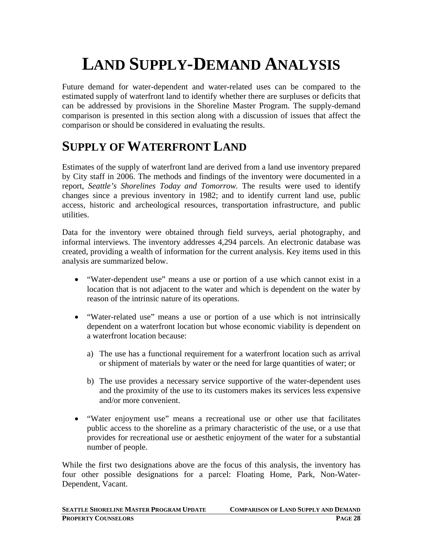# **LAND SUPPLY-DEMAND ANALYSIS**

Future demand for water-dependent and water-related uses can be compared to the estimated supply of waterfront land to identify whether there are surpluses or deficits that can be addressed by provisions in the Shoreline Master Program. The supply-demand comparison is presented in this section along with a discussion of issues that affect the comparison or should be considered in evaluating the results.

# **SUPPLY OF WATERFRONT LAND**

Estimates of the supply of waterfront land are derived from a land use inventory prepared by City staff in 2006. The methods and findings of the inventory were documented in a report, *Seattle's Shorelines Today and Tomorrow.* The results were used to identify changes since a previous inventory in 1982; and to identify current land use, public access, historic and archeological resources, transportation infrastructure, and public utilities.

Data for the inventory were obtained through field surveys, aerial photography, and informal interviews. The inventory addresses 4,294 parcels. An electronic database was created, providing a wealth of information for the current analysis. Key items used in this analysis are summarized below.

- "Water-dependent use" means a use or portion of a use which cannot exist in a location that is not adjacent to the water and which is dependent on the water by reason of the intrinsic nature of its operations.
- "Water-related use" means a use or portion of a use which is not intrinsically dependent on a waterfront location but whose economic viability is dependent on a waterfront location because:
	- a) The use has a functional requirement for a waterfront location such as arrival or shipment of materials by water or the need for large quantities of water; or
	- b) The use provides a necessary service supportive of the water-dependent uses and the proximity of the use to its customers makes its services less expensive and/or more convenient.
- "Water enjoyment use" means a recreational use or other use that facilitates public access to the shoreline as a primary characteristic of the use, or a use that provides for recreational use or aesthetic enjoyment of the water for a substantial number of people.

While the first two designations above are the focus of this analysis, the inventory has four other possible designations for a parcel: Floating Home, Park, Non-Water-Dependent, Vacant.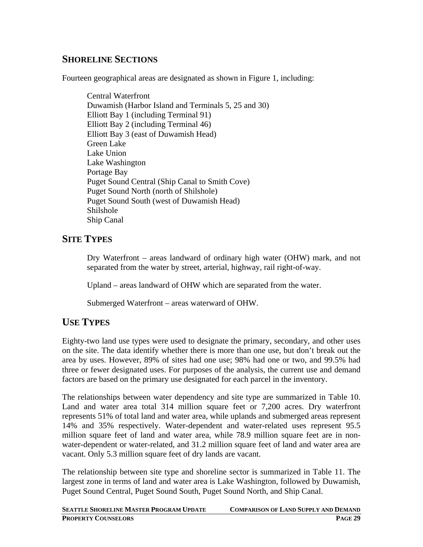## **SHORELINE SECTIONS**

Fourteen geographical areas are designated as shown in Figure 1, including:

Central Waterfront Duwamish (Harbor Island and Terminals 5, 25 and 30) Elliott Bay 1 (including Terminal 91) Elliott Bay 2 (including Terminal 46) Elliott Bay 3 (east of Duwamish Head) Green Lake Lake Union Lake Washington Portage Bay Puget Sound Central (Ship Canal to Smith Cove) Puget Sound North (north of Shilshole) Puget Sound South (west of Duwamish Head) Shilshole Ship Canal

#### **SITE TYPES**

Dry Waterfront – areas landward of ordinary high water (OHW) mark, and not separated from the water by street, arterial, highway, rail right-of-way.

Upland – areas landward of OHW which are separated from the water.

Submerged Waterfront – areas waterward of OHW.

#### **USE TYPES**

Eighty-two land use types were used to designate the primary, secondary, and other uses on the site. The data identify whether there is more than one use, but don't break out the area by uses. However, 89% of sites had one use; 98% had one or two, and 99.5% had three or fewer designated uses. For purposes of the analysis, the current use and demand factors are based on the primary use designated for each parcel in the inventory.

The relationships between water dependency and site type are summarized in Table 10. Land and water area total 314 million square feet or 7,200 acres. Dry waterfront represents 51% of total land and water area, while uplands and submerged areas represent 14% and 35% respectively. Water-dependent and water-related uses represent 95.5 million square feet of land and water area, while 78.9 million square feet are in nonwater-dependent or water-related, and 31.2 million square feet of land and water area are vacant. Only 5.3 million square feet of dry lands are vacant.

The relationship between site type and shoreline sector is summarized in Table 11. The largest zone in terms of land and water area is Lake Washington, followed by Duwamish, Puget Sound Central, Puget Sound South, Puget Sound North, and Ship Canal.

| <b>SEATTLE SHORELINE MASTER PROGRAM UPDATE</b> | <b>COMPARISON OF LAND SUPPLY AND DEMAND</b> |
|------------------------------------------------|---------------------------------------------|
| <b>PROPERTY COUNSELORS</b>                     | <b>PAGE 29</b>                              |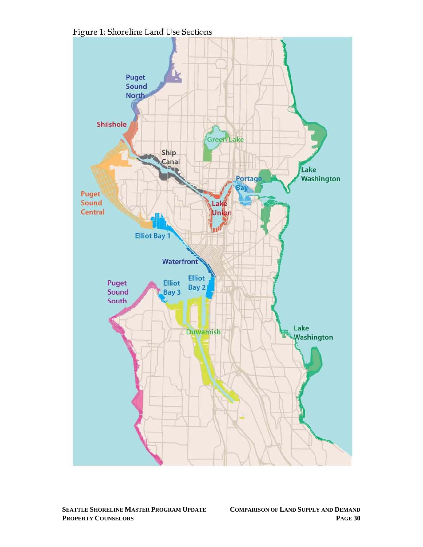

Figure 1: Shoreline Land Use Sections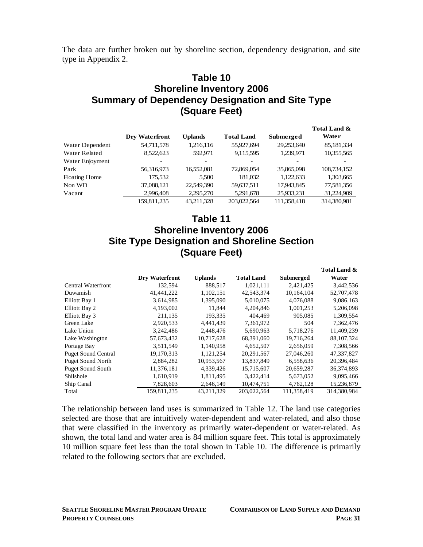The data are further broken out by shoreline section, dependency designation, and site type in Appendix 2.

#### **Table 10 Shoreline Inventory 2006 Summary of Dependency Designation and Site Type (Square Feet)**

|                      |                       |                          |                   |                  | Total Land & |
|----------------------|-----------------------|--------------------------|-------------------|------------------|--------------|
|                      | <b>Dry Waterfront</b> | Uplands                  | <b>Total Land</b> | <b>Submerged</b> | Water        |
| Water Dependent      | 54,711,578            | 1,216,116                | 55,927,694        | 29,253,640       | 85,181,334   |
| Water Related        | 8,522,623             | 592.971                  | 9,115,595         | 1,239,971        | 10,355,565   |
| Water Enjoyment      |                       | $\overline{\phantom{0}}$ |                   |                  |              |
| Park                 | 56,316,973            | 16,552,081               | 72,869,054        | 35,865,098       | 108,734,152  |
| <b>Floating Home</b> | 175,532               | 5.500                    | 181,032           | 1,122,633        | 1,303,665    |
| Non WD               | 37,088,121            | 22,549,390               | 59,637,511        | 17,943,845       | 77,581,356   |
| Vacant               | 2,996,408             | 2,295,270                | 5,291,678         | 25,933,231       | 31,224,909   |
|                      | 159.811.235           | 43.211.328               | 203,022,564       | 111,358,418      | 314,380,981  |

#### **Table 11 Shoreline Inventory 2006 Site Type Designation and Shoreline Section (Square Feet)**

|                            |                |                |                   |                  | Total Land & |
|----------------------------|----------------|----------------|-------------------|------------------|--------------|
|                            | Dry Waterfront | <b>Uplands</b> | <b>Total Land</b> | <b>Submerged</b> | Water        |
| Central Waterfront         | 132,594        | 888,517        | 1,021,111         | 2,421,425        | 3,442,536    |
| Duwamish                   | 41,441,222     | 1,102,151      | 42,543,374        | 10,164,104       | 52,707,478   |
| Elliott Bay 1              | 3.614.985      | 1,395,090      | 5,010,075         | 4,076,088        | 9,086,163    |
| Elliott Bay 2              | 4,193,002      | 11,844         | 4,204,846         | 1,001,253        | 5,206,098    |
| Elliott Bay 3              | 211,135        | 193,335        | 404.469           | 905,085          | 1,309,554    |
| Green Lake                 | 2,920,533      | 4,441,439      | 7,361,972         | 504              | 7,362,476    |
| Lake Union                 | 3,242,486      | 2,448,476      | 5,690,963         | 5,718,276        | 11,409,239   |
| Lake Washington            | 57,673,432     | 10,717,628     | 68,391,060        | 19,716,264       | 88, 107, 324 |
| Portage Bay                | 3.511.549      | 1.140.958      | 4.652.507         | 2.656,059        | 7,308,566    |
| <b>Puget Sound Central</b> | 19,170,313     | 1,121,254      | 20, 291, 567      | 27,046,260       | 47,337,827   |
| <b>Puget Sound North</b>   | 2,884,282      | 10,953,567     | 13,837,849        | 6,558,636        | 20,396,484   |
| <b>Puget Sound South</b>   | 11,376,181     | 4,339,426      | 15,715,607        | 20,659,287       | 36,374,893   |
| Shilshole                  | 1,610,919      | 1,811,495      | 3,422,414         | 5,673,052        | 9,095,466    |
| Ship Canal                 | 7,828,603      | 2,646,149      | 10,474,751        | 4,762,128        | 15,236,879   |
| Total                      | 159,811,235    | 43,211,329     | 203,022,564       | 111,358,419      | 314,380,984  |

The relationship between land uses is summarized in Table 12. The land use categories selected are those that are intuitively water-dependent and water-related, and also those that were classified in the inventory as primarily water-dependent or water-related. As shown, the total land and water area is 84 million square feet. This total is approximately 10 million square feet less than the total shown in Table 10. The difference is primarily related to the following sectors that are excluded.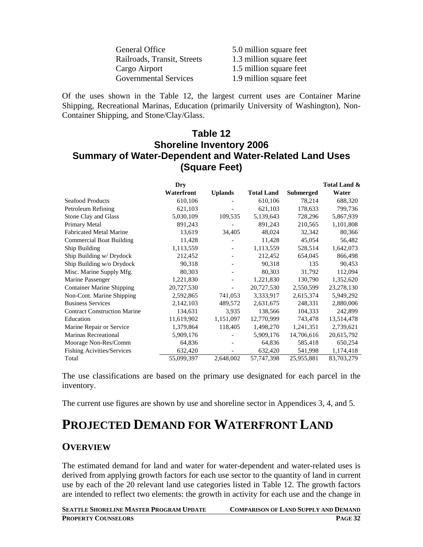| 5.0 million square feet |
|-------------------------|
| 1.3 million square feet |
| 1.5 million square feet |
| 1.9 million square feet |
|                         |

Of the uses shown in the Table 12, the largest current uses are Container Marine Shipping, Recreational Marinas, Education (primarily University of Washington), Non-Container Shipping, and Stone/Clay/Glass.

#### **Table 12 Shoreline Inventory 2006 Summary of Water-Dependent and Water-Related Land Uses (Square Feet)**

|                                     | Dry        |                          |                   |                  | Total Land & |
|-------------------------------------|------------|--------------------------|-------------------|------------------|--------------|
|                                     | Waterfront | <b>Uplands</b>           | <b>Total Land</b> | <b>Submerged</b> | Water        |
| <b>Seafood Products</b>             | 610,106    |                          | 610,106           | 78,214           | 688,320      |
| Petroleum Refining                  | 621,103    |                          | 621,103           | 178,633          | 799,736      |
| Stone Clay and Glass                | 5,030,109  | 109,535                  | 5,139,643         | 728,296          | 5,867,939    |
| Primary Metal                       | 891,243    |                          | 891,243           | 210,565          | 1,101,808    |
| <b>Fabricated Metal Marine</b>      | 13,619     | 34,405                   | 48,024            | 32,342           | 80,366       |
| <b>Commercial Boat Building</b>     | 11,428     |                          | 11,428            | 45,054           | 56,482       |
| Ship Building                       | 1,113,559  | $\overline{\phantom{a}}$ | 1,113,559         | 528,514          | 1,642,073    |
| Ship Building w/ Drydock            | 212,452    |                          | 212,452           | 654,045          | 866,498      |
| Ship Building w/o Drydock           | 90,318     |                          | 90,318            | 135              | 90,453       |
| Misc. Marine Supply Mfg.            | 80,303     |                          | 80,303            | 31,792           | 112,094      |
| Marine Passenger                    | 1,221,830  |                          | 1,221,830         | 130,790          | 1,352,620    |
| <b>Container Marine Shipping</b>    | 20,727,530 | $\overline{\phantom{0}}$ | 20,727,530        | 2,550,599        | 23,278,130   |
| Non-Cont. Marine Shipping           | 2,592,865  | 741,053                  | 3,333,917         | 2,615,374        | 5,949,292    |
| <b>Business Services</b>            | 2,142,103  | 489,572                  | 2,631,675         | 248,331          | 2,880,006    |
| <b>Contract Construction Marine</b> | 134,631    | 3,935                    | 138,566           | 104,333          | 242,899      |
| Education                           | 11,619,902 | 1,151,097                | 12,770,999        | 743,478          | 13,514,478   |
| Marine Repair or Service            | 1,379,864  | 118,405                  | 1,498,270         | 1,241,351        | 2,739,621    |
| <b>Marinas Recreational</b>         | 5,909,176  |                          | 5,909,176         | 14,706,616       | 20,615,792   |
| Moorage Non-Res/Comm                | 64,836     |                          | 64,836            | 585,418          | 650,254      |
| <b>Fishing Acivities/Services</b>   | 632,420    |                          | 632,420           | 541,998          | 1,174,418    |
| Total                               | 55,099,397 | 2,648,002                | 57,747,398        | 25,955,881       | 83,703,279   |

The use classifications are based on the primary use designated for each parcel in the inventory.

The current use figures are shown by use and shoreline sector in Appendices 3, 4, and 5.

# **PROJECTED DEMAND FOR WATERFRONT LAND**

#### **OVERVIEW**

The estimated demand for land and water for water-dependent and water-related uses is derived from applying growth factors for each use sector to the quantity of land in current use by each of the 20 relevant land use categories listed in Table 12. The growth factors are intended to reflect two elements: the growth in activity for each use and the change in

| <b>SEATTLE SHORELINE MASTER PROGRAM UPDATE</b> | <b>COMPARISON OF LAND SUPPLY AND DEMAND</b> |
|------------------------------------------------|---------------------------------------------|
| <b>PROPERTY COUNSELORS</b>                     | <b>PAGE 32</b>                              |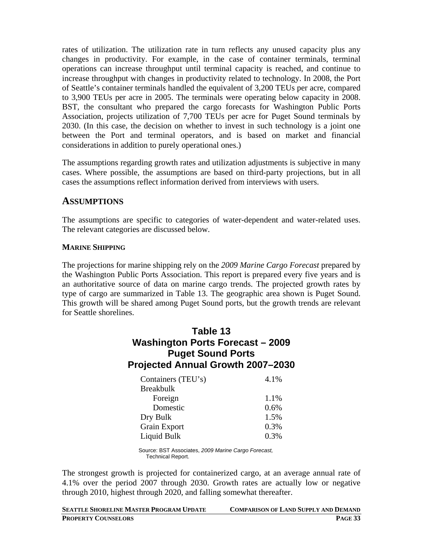rates of utilization. The utilization rate in turn reflects any unused capacity plus any changes in productivity. For example, in the case of container terminals, terminal operations can increase throughput until terminal capacity is reached, and continue to increase throughput with changes in productivity related to technology. In 2008, the Port of Seattle's container terminals handled the equivalent of 3,200 TEUs per acre, compared to 3,900 TEUs per acre in 2005. The terminals were operating below capacity in 2008. BST, the consultant who prepared the cargo forecasts for Washington Public Ports Association, projects utilization of 7,700 TEUs per acre for Puget Sound terminals by 2030. (In this case, the decision on whether to invest in such technology is a joint one between the Port and terminal operators, and is based on market and financial considerations in addition to purely operational ones.)

The assumptions regarding growth rates and utilization adjustments is subjective in many cases. Where possible, the assumptions are based on third-party projections, but in all cases the assumptions reflect information derived from interviews with users.

#### **ASSUMPTIONS**

The assumptions are specific to categories of water-dependent and water-related uses. The relevant categories are discussed below.

#### **MARINE SHIPPING**

The projections for marine shipping rely on the *2009 Marine Cargo Forecast* prepared by the Washington Public Ports Association. This report is prepared every five years and is an authoritative source of data on marine cargo trends. The projected growth rates by type of cargo are summarized in Table 13. The geographic area shown is Puget Sound. This growth will be shared among Puget Sound ports, but the growth trends are relevant for Seattle shorelines.

#### **Table 13 Washington Ports Forecast – 2009 Puget Sound Ports Projected Annual Growth 2007–2030**

| Containers (TEU's) | 4.1% |
|--------------------|------|
| <b>Breakbulk</b>   |      |
| Foreign            | 1.1% |
| Domestic           | 0.6% |
| Dry Bulk           | 1.5% |
| Grain Export       | 0.3% |
| Liquid Bulk        | 0.3% |

Source: BST Associates, *2009 Marine Cargo Forecast,*  Technical Report.

The strongest growth is projected for containerized cargo, at an average annual rate of 4.1% over the period 2007 through 2030. Growth rates are actually low or negative through 2010, highest through 2020, and falling somewhat thereafter.

| <b>SEATTLE SHORELINE MASTER PROGRAM UPDATE</b> | <b>COMPARISON OF LAND SUPPLY AND DEMAND</b> |
|------------------------------------------------|---------------------------------------------|
| <b>PROPERTY COUNSELORS</b>                     | <b>PAGE 33</b>                              |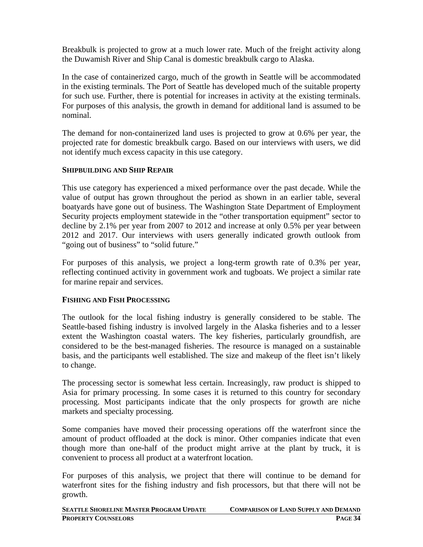Breakbulk is projected to grow at a much lower rate. Much of the freight activity along the Duwamish River and Ship Canal is domestic breakbulk cargo to Alaska.

In the case of containerized cargo, much of the growth in Seattle will be accommodated in the existing terminals. The Port of Seattle has developed much of the suitable property for such use. Further, there is potential for increases in activity at the existing terminals. For purposes of this analysis, the growth in demand for additional land is assumed to be nominal.

The demand for non-containerized land uses is projected to grow at 0.6% per year, the projected rate for domestic breakbulk cargo. Based on our interviews with users, we did not identify much excess capacity in this use category.

#### **SHIPBUILDING AND SHIP REPAIR**

This use category has experienced a mixed performance over the past decade. While the value of output has grown throughout the period as shown in an earlier table, several boatyards have gone out of business. The Washington State Department of Employment Security projects employment statewide in the "other transportation equipment" sector to decline by 2.1% per year from 2007 to 2012 and increase at only 0.5% per year between 2012 and 2017. Our interviews with users generally indicated growth outlook from "going out of business" to "solid future."

For purposes of this analysis, we project a long-term growth rate of 0.3% per year, reflecting continued activity in government work and tugboats. We project a similar rate for marine repair and services.

#### **FISHING AND FISH PROCESSING**

The outlook for the local fishing industry is generally considered to be stable. The Seattle-based fishing industry is involved largely in the Alaska fisheries and to a lesser extent the Washington coastal waters. The key fisheries, particularly groundfish, are considered to be the best-managed fisheries. The resource is managed on a sustainable basis, and the participants well established. The size and makeup of the fleet isn't likely to change.

The processing sector is somewhat less certain. Increasingly, raw product is shipped to Asia for primary processing. In some cases it is returned to this country for secondary processing. Most participants indicate that the only prospects for growth are niche markets and specialty processing.

Some companies have moved their processing operations off the waterfront since the amount of product offloaded at the dock is minor. Other companies indicate that even though more than one-half of the product might arrive at the plant by truck, it is convenient to process all product at a waterfront location.

For purposes of this analysis, we project that there will continue to be demand for waterfront sites for the fishing industry and fish processors, but that there will not be growth.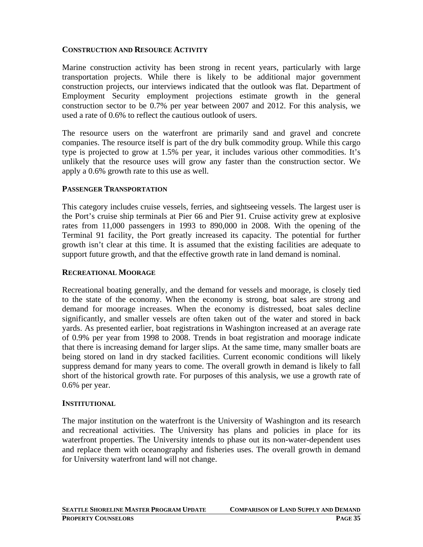#### **CONSTRUCTION AND RESOURCE ACTIVITY**

Marine construction activity has been strong in recent years, particularly with large transportation projects. While there is likely to be additional major government construction projects, our interviews indicated that the outlook was flat. Department of Employment Security employment projections estimate growth in the general construction sector to be 0.7% per year between 2007 and 2012. For this analysis, we used a rate of 0.6% to reflect the cautious outlook of users.

The resource users on the waterfront are primarily sand and gravel and concrete companies. The resource itself is part of the dry bulk commodity group. While this cargo type is projected to grow at 1.5% per year, it includes various other commodities. It's unlikely that the resource uses will grow any faster than the construction sector. We apply a 0.6% growth rate to this use as well.

#### **PASSENGER TRANSPORTATION**

This category includes cruise vessels, ferries, and sightseeing vessels. The largest user is the Port's cruise ship terminals at Pier 66 and Pier 91. Cruise activity grew at explosive rates from 11,000 passengers in 1993 to 890,000 in 2008. With the opening of the Terminal 91 facility, the Port greatly increased its capacity. The potential for further growth isn't clear at this time. It is assumed that the existing facilities are adequate to support future growth, and that the effective growth rate in land demand is nominal.

#### **RECREATIONAL MOORAGE**

Recreational boating generally, and the demand for vessels and moorage, is closely tied to the state of the economy. When the economy is strong, boat sales are strong and demand for moorage increases. When the economy is distressed, boat sales decline significantly, and smaller vessels are often taken out of the water and stored in back yards. As presented earlier, boat registrations in Washington increased at an average rate of 0.9% per year from 1998 to 2008. Trends in boat registration and moorage indicate that there is increasing demand for larger slips. At the same time, many smaller boats are being stored on land in dry stacked facilities. Current economic conditions will likely suppress demand for many years to come. The overall growth in demand is likely to fall short of the historical growth rate. For purposes of this analysis, we use a growth rate of 0.6% per year.

#### **INSTITUTIONAL**

The major institution on the waterfront is the University of Washington and its research and recreational activities. The University has plans and policies in place for its waterfront properties. The University intends to phase out its non-water-dependent uses and replace them with oceanography and fisheries uses. The overall growth in demand for University waterfront land will not change.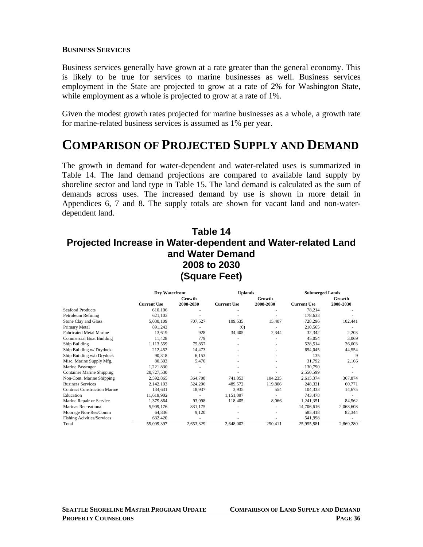#### **BUSINESS SERVICES**

Business services generally have grown at a rate greater than the general economy. This is likely to be true for services to marine businesses as well. Business services employment in the State are projected to grow at a rate of 2% for Washington State, while employment as a whole is projected to grow at a rate of 1%.

Given the modest growth rates projected for marine businesses as a whole, a growth rate for marine-related business services is assumed as 1% per year.

## **COMPARISON OF PROJECTED SUPPLY AND DEMAND**

The growth in demand for water-dependent and water-related uses is summarized in Table 14. The land demand projections are compared to available land supply by shoreline sector and land type in Table 15. The land demand is calculated as the sum of demands across uses. The increased demand by use is shown in more detail in Appendices 6, 7 and 8. The supply totals are shown for vacant land and non-waterdependent land.

#### **Table 14 Projected Increase in Water-dependent and Water-related Land and Water Demand 2008 to 2030 (Square Feet)**

|                                     | Dry Waterfront     |           | <b>Uplands</b>     |           | <b>Submerged Lands</b> |           |  |  |
|-------------------------------------|--------------------|-----------|--------------------|-----------|------------------------|-----------|--|--|
|                                     |                    | Growth    |                    | Growth    |                        | Growth    |  |  |
|                                     | <b>Current Use</b> | 2008-2030 | <b>Current Use</b> | 2008-2030 | <b>Current Use</b>     | 2008-2030 |  |  |
| <b>Seafood Products</b>             | 610,106            |           |                    |           | 78,214                 |           |  |  |
| Petroleum Refining                  | 621,103            |           |                    |           | 178,633                |           |  |  |
| Stone Clay and Glass                | 5,030,109          | 707,527   | 109,535            | 15,407    | 728,296                | 102,441   |  |  |
| Primary Metal                       | 891,243            |           | (0)                |           | 210,565                |           |  |  |
| <b>Fabricated Metal Marine</b>      | 13,619             | 928       | 34,405             | 2,344     | 32,342                 | 2,203     |  |  |
| <b>Commercial Boat Building</b>     | 11,428             | 779       |                    |           | 45,054                 | 3,069     |  |  |
| Ship Building                       | 1,113,559          | 75,857    |                    |           | 528,514                | 36,003    |  |  |
| Ship Building w/ Drydock            | 212,452            | 14,473    |                    |           | 654,045                | 44,554    |  |  |
| Ship Building w/o Drydock           | 90,318             | 6,153     |                    |           | 135                    | 9         |  |  |
| Misc. Marine Supply Mfg.            | 80,303             | 5,470     |                    |           | 31,792                 | 2,166     |  |  |
| Marine Passenger                    | 1,221,830          |           |                    |           | 130,790                |           |  |  |
| <b>Container Marine Shipping</b>    | 20,727,530         |           |                    |           | 2,550,599              |           |  |  |
| Non-Cont. Marine Shipping           | 2,592,865          | 364,708   | 741,053            | 104,235   | 2,615,374              | 367,874   |  |  |
| <b>Business Services</b>            | 2,142,103          | 524,206   | 489,572            | 119,806   | 248,331                | 60,771    |  |  |
| <b>Contract Construction Marine</b> | 134,631            | 18,937    | 3,935              | 554       | 104,333                | 14,675    |  |  |
| Education                           | 11,619,902         |           | 1,151,097          |           | 743,478                |           |  |  |
| Marine Repair or Service            | 1,379,864          | 93,998    | 118,405            | 8,066     | 1,241,351              | 84,562    |  |  |
| Marinas Recreational                | 5,909,176          | 831,175   |                    |           | 14,706,616             | 2,068,608 |  |  |
| Moorage Non-Res/Comm                | 64,836             | 9,120     |                    |           | 585,418                | 82,344    |  |  |
| <b>Fishing Acivities/Services</b>   | 632,420            |           |                    |           | 541,998                |           |  |  |
| Total                               | 55,099,397         | 2,653,329 | 2,648,002          | 250,411   | 25,955,881             | 2,869,280 |  |  |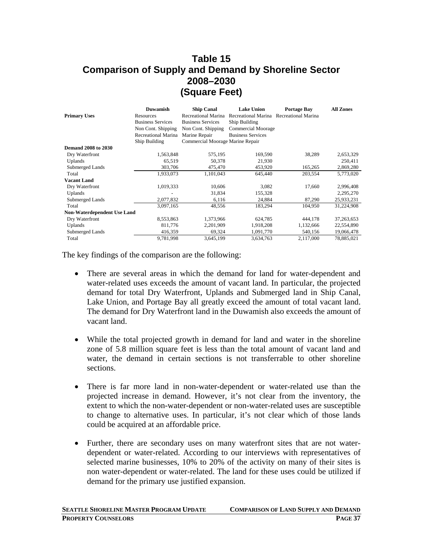## **Table 15 Comparison of Supply and Demand by Shoreline Sector 2008–2030 (Square Feet)**

|                                    | <b>Duwamish</b>          | <b>Ship Canal</b>                | <b>Lake Union</b>                       | <b>Portage Bay</b> | <b>All Zones</b> |
|------------------------------------|--------------------------|----------------------------------|-----------------------------------------|--------------------|------------------|
| <b>Primary Uses</b>                | Resources                | Recreational Marina              | Recreational Marina Recreational Marina |                    |                  |
|                                    | <b>Business Services</b> | <b>Business Services</b>         | Ship Building                           |                    |                  |
|                                    | Non Cont. Shipping       | Non Cont. Shipping               | Commercial Moorage                      |                    |                  |
|                                    | Recreational Marina      | Marine Repair                    | <b>Business Services</b>                |                    |                  |
|                                    | Ship Building            | Commercial Moorage Marine Repair |                                         |                    |                  |
| <b>Demand 2008 to 2030</b>         |                          |                                  |                                         |                    |                  |
| Dry Waterfront                     | 1,563,848                | 575,195                          | 169,590                                 | 38,289             | 2,653,329        |
| Uplands                            | 65,519                   | 50,378                           | 21,930                                  |                    | 250,411          |
| Submerged Lands                    | 303,706                  | 475,470                          | 453,920                                 | 165,265            | 2,869,280        |
| Total                              | 1,933,073                | 1,101,043                        | 645,440                                 | 203,554            | 5,773,020        |
| <b>Vacant Land</b>                 |                          |                                  |                                         |                    |                  |
| Dry Waterfront                     | 1,019,333                | 10,606                           | 3,082                                   | 17,660             | 2,996,408        |
| Uplands                            |                          | 31,834                           | 155,328                                 |                    | 2,295,270        |
| Submerged Lands                    | 2,077,832                | 6,116                            | 24,884                                  | 87,290             | 25,933,231       |
| Total                              | 3,097,165                | 48,556                           | 183,294                                 | 104,950            | 31,224,908       |
| <b>Non-Waterdependent Use Land</b> |                          |                                  |                                         |                    |                  |
| Dry Waterfront                     | 8,553,863                | 1,373,966                        | 624,785                                 | 444,178            | 37,263,653       |
| Uplands                            | 811,776                  | 2,201,909                        | 1,918,208                               | 1,132,666          | 22,554,890       |
| Submerged Lands                    | 416,359                  | 69,324                           | 1,091,770                               | 540,156            | 19,066,478       |
| Total                              | 9,781,998                | 3,645,199                        | 3,634,763                               | 2,117,000          | 78,885,021       |

The key findings of the comparison are the following:

- There are several areas in which the demand for land for water-dependent and water-related uses exceeds the amount of vacant land. In particular, the projected demand for total Dry Waterfront, Uplands and Submerged land in Ship Canal, Lake Union, and Portage Bay all greatly exceed the amount of total vacant land. The demand for Dry Waterfront land in the Duwamish also exceeds the amount of vacant land.
- While the total projected growth in demand for land and water in the shoreline zone of 5.8 million square feet is less than the total amount of vacant land and water, the demand in certain sections is not transferrable to other shoreline sections.
- There is far more land in non-water-dependent or water-related use than the projected increase in demand. However, it's not clear from the inventory, the extent to which the non-water-dependent or non-water-related uses are susceptible to change to alternative uses. In particular, it's not clear which of those lands could be acquired at an affordable price.
- Further, there are secondary uses on many waterfront sites that are not waterdependent or water-related. According to our interviews with representatives of selected marine businesses, 10% to 20% of the activity on many of their sites is non water-dependent or water-related. The land for these uses could be utilized if demand for the primary use justified expansion.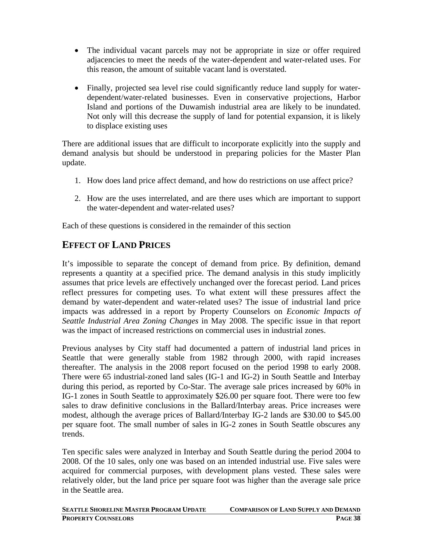- The individual vacant parcels may not be appropriate in size or offer required adjacencies to meet the needs of the water-dependent and water-related uses. For this reason, the amount of suitable vacant land is overstated.
- Finally, projected sea level rise could significantly reduce land supply for waterdependent/water-related businesses. Even in conservative projections, Harbor Island and portions of the Duwamish industrial area are likely to be inundated. Not only will this decrease the supply of land for potential expansion, it is likely to displace existing uses

There are additional issues that are difficult to incorporate explicitly into the supply and demand analysis but should be understood in preparing policies for the Master Plan update.

- 1. How does land price affect demand, and how do restrictions on use affect price?
- 2. How are the uses interrelated, and are there uses which are important to support the water-dependent and water-related uses?

Each of these questions is considered in the remainder of this section

#### **EFFECT OF LAND PRICES**

It's impossible to separate the concept of demand from price. By definition, demand represents a quantity at a specified price. The demand analysis in this study implicitly assumes that price levels are effectively unchanged over the forecast period. Land prices reflect pressures for competing uses. To what extent will these pressures affect the demand by water-dependent and water-related uses? The issue of industrial land price impacts was addressed in a report by Property Counselors on *Economic Impacts of Seattle Industrial Area Zoning Changes* in May 2008. The specific issue in that report was the impact of increased restrictions on commercial uses in industrial zones.

Previous analyses by City staff had documented a pattern of industrial land prices in Seattle that were generally stable from 1982 through 2000, with rapid increases thereafter. The analysis in the 2008 report focused on the period 1998 to early 2008. There were 65 industrial-zoned land sales (IG-1 and IG-2) in South Seattle and Interbay during this period, as reported by Co-Star. The average sale prices increased by 60% in IG-1 zones in South Seattle to approximately \$26.00 per square foot. There were too few sales to draw definitive conclusions in the Ballard/Interbay areas. Price increases were modest, although the average prices of Ballard/Interbay IG-2 lands are \$30.00 to \$45.00 per square foot. The small number of sales in IG-2 zones in South Seattle obscures any trends.

Ten specific sales were analyzed in Interbay and South Seattle during the period 2004 to 2008. Of the 10 sales, only one was based on an intended industrial use. Five sales were acquired for commercial purposes, with development plans vested. These sales were relatively older, but the land price per square foot was higher than the average sale price in the Seattle area.

| <b>SEATTLE SHORELINE MASTER PROGRAM UPDATE</b> | <b>COMPARISON OF LAND SUPPLY AND DEMAND</b> |
|------------------------------------------------|---------------------------------------------|
| <b>PROPERTY COUNSELORS</b>                     | <b>PAGE 38</b>                              |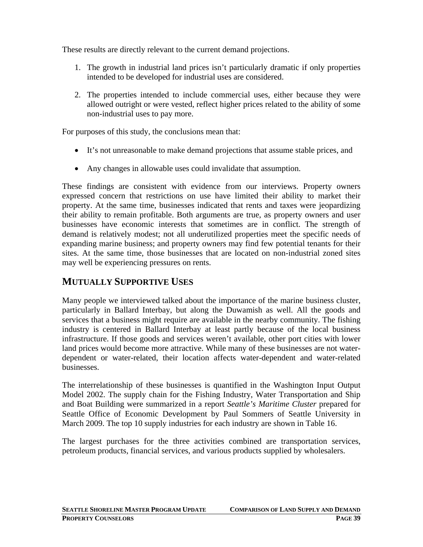These results are directly relevant to the current demand projections.

- 1. The growth in industrial land prices isn't particularly dramatic if only properties intended to be developed for industrial uses are considered.
- 2. The properties intended to include commercial uses, either because they were allowed outright or were vested, reflect higher prices related to the ability of some non-industrial uses to pay more.

For purposes of this study, the conclusions mean that:

- It's not unreasonable to make demand projections that assume stable prices, and
- Any changes in allowable uses could invalidate that assumption.

These findings are consistent with evidence from our interviews. Property owners expressed concern that restrictions on use have limited their ability to market their property. At the same time, businesses indicated that rents and taxes were jeopardizing their ability to remain profitable. Both arguments are true, as property owners and user businesses have economic interests that sometimes are in conflict. The strength of demand is relatively modest; not all underutilized properties meet the specific needs of expanding marine business; and property owners may find few potential tenants for their sites. At the same time, those businesses that are located on non-industrial zoned sites may well be experiencing pressures on rents.

## **MUTUALLY SUPPORTIVE USES**

Many people we interviewed talked about the importance of the marine business cluster, particularly in Ballard Interbay, but along the Duwamish as well. All the goods and services that a business might require are available in the nearby community. The fishing industry is centered in Ballard Interbay at least partly because of the local business infrastructure. If those goods and services weren't available, other port cities with lower land prices would become more attractive. While many of these businesses are not waterdependent or water-related, their location affects water-dependent and water-related businesses.

The interrelationship of these businesses is quantified in the Washington Input Output Model 2002. The supply chain for the Fishing Industry, Water Transportation and Ship and Boat Building were summarized in a report *Seattle's Maritime Cluster* prepared for Seattle Office of Economic Development by Paul Sommers of Seattle University in March 2009. The top 10 supply industries for each industry are shown in Table 16.

The largest purchases for the three activities combined are transportation services, petroleum products, financial services, and various products supplied by wholesalers.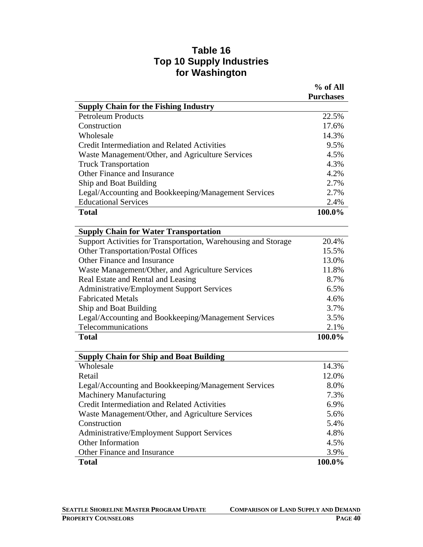#### **Table 16 Top 10 Supply Industries for Washington**

|                                                                | % of All         |
|----------------------------------------------------------------|------------------|
|                                                                | <b>Purchases</b> |
| <b>Supply Chain for the Fishing Industry</b>                   |                  |
| <b>Petroleum Products</b>                                      | 22.5%            |
| Construction                                                   | 17.6%            |
| Wholesale                                                      | 14.3%            |
| <b>Credit Intermediation and Related Activities</b>            | 9.5%             |
| Waste Management/Other, and Agriculture Services               | 4.5%             |
| <b>Truck Transportation</b>                                    | 4.3%             |
| Other Finance and Insurance                                    | 4.2%             |
| Ship and Boat Building                                         | 2.7%             |
| Legal/Accounting and Bookkeeping/Management Services           | 2.7%             |
| <b>Educational Services</b>                                    | 2.4%             |
| <b>Total</b>                                                   | 100.0%           |
| <b>Supply Chain for Water Transportation</b>                   |                  |
| Support Activities for Transportation, Warehousing and Storage | 20.4%            |
| <b>Other Transportation/Postal Offices</b>                     | 15.5%            |
| Other Finance and Insurance                                    | 13.0%            |
| Waste Management/Other, and Agriculture Services               | 11.8%            |
| Real Estate and Rental and Leasing                             | 8.7%             |
| <b>Administrative/Employment Support Services</b>              | 6.5%             |
| <b>Fabricated Metals</b>                                       | 4.6%             |
| Ship and Boat Building                                         | 3.7%             |
| Legal/Accounting and Bookkeeping/Management Services           | 3.5%             |
| Telecommunications                                             | 2.1%             |
| <b>Total</b>                                                   | 100.0%           |
| <b>Supply Chain for Ship and Boat Building</b>                 |                  |
| Wholesale                                                      | 14.3%            |
| Retail                                                         | 12.0%            |
| Legal/Accounting and Bookkeeping/Management Services           | 8.0%             |
| <b>Machinery Manufacturing</b>                                 | 7.3%             |
| <b>Credit Intermediation and Related Activities</b>            | 6.9%             |
| Waste Management/Other, and Agriculture Services               | 5.6%             |
| Construction                                                   | 5.4%             |
| <b>Administrative/Employment Support Services</b>              | 4.8%             |
| <b>Other Information</b>                                       | 4.5%             |
| Other Finance and Insurance                                    | 3.9%             |
| <b>Total</b>                                                   | 100.0%           |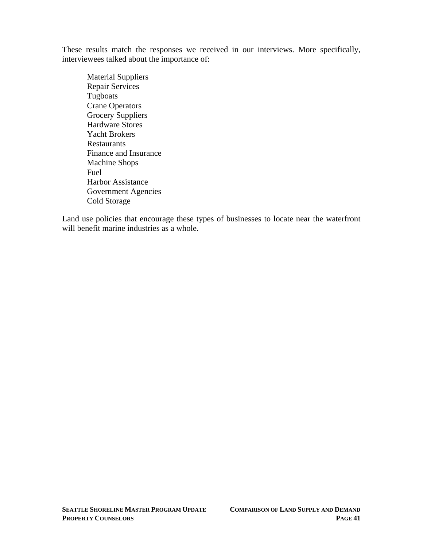These results match the responses we received in our interviews. More specifically, interviewees talked about the importance of:

Material Suppliers Repair Services Tugboats Crane Operators Grocery Suppliers Hardware Stores Yacht Brokers Restaurants Finance and Insurance Machine Shops Fuel Harbor Assistance Government Agencies Cold Storage

Land use policies that encourage these types of businesses to locate near the waterfront will benefit marine industries as a whole.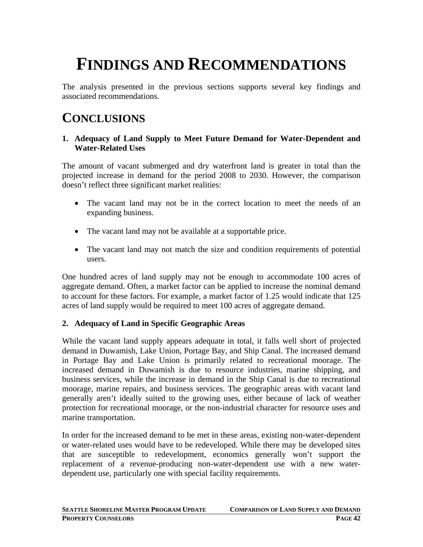# **FINDINGS AND RECOMMENDATIONS**

The analysis presented in the previous sections supports several key findings and associated recommendations.

# **CONCLUSIONS**

#### **1. Adequacy of Land Supply to Meet Future Demand for Water-Dependent and Water-Related Uses**

The amount of vacant submerged and dry waterfront land is greater in total than the projected increase in demand for the period 2008 to 2030. However, the comparison doesn't reflect three significant market realities:

- The vacant land may not be in the correct location to meet the needs of an expanding business.
- The vacant land may not be available at a supportable price.
- The vacant land may not match the size and condition requirements of potential users.

One hundred acres of land supply may not be enough to accommodate 100 acres of aggregate demand. Often, a market factor can be applied to increase the nominal demand to account for these factors. For example, a market factor of 1.25 would indicate that 125 acres of land supply would be required to meet 100 acres of aggregate demand.

#### **2. Adequacy of Land in Specific Geographic Areas**

While the vacant land supply appears adequate in total, it falls well short of projected demand in Duwamish, Lake Union, Portage Bay, and Ship Canal. The increased demand in Portage Bay and Lake Union is primarily related to recreational moorage. The increased demand in Duwamish is due to resource industries, marine shipping, and business services, while the increase in demand in the Ship Canal is due to recreational moorage, marine repairs, and business services. The geographic areas with vacant land generally aren't ideally suited to the growing uses, either because of lack of weather protection for recreational moorage, or the non-industrial character for resource uses and marine transportation.

In order for the increased demand to be met in these areas, existing non-water-dependent or water-related uses would have to be redeveloped. While there may be developed sites that are susceptible to redevelopment, economics generally won't support the replacement of a revenue-producing non-water-dependent use with a new waterdependent use, particularly one with special facility requirements.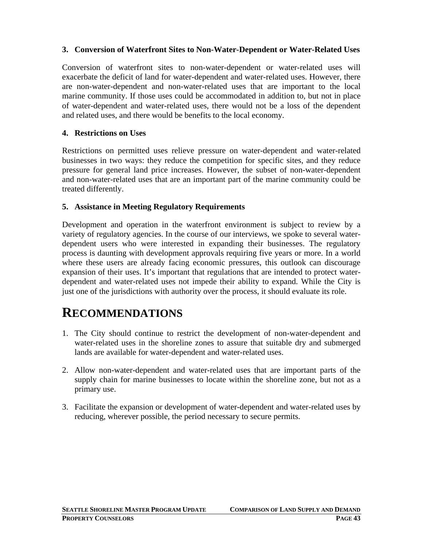#### **3. Conversion of Waterfront Sites to Non-Water-Dependent or Water-Related Uses**

Conversion of waterfront sites to non-water-dependent or water-related uses will exacerbate the deficit of land for water-dependent and water-related uses. However, there are non-water-dependent and non-water-related uses that are important to the local marine community. If those uses could be accommodated in addition to, but not in place of water-dependent and water-related uses, there would not be a loss of the dependent and related uses, and there would be benefits to the local economy.

#### **4. Restrictions on Uses**

Restrictions on permitted uses relieve pressure on water-dependent and water-related businesses in two ways: they reduce the competition for specific sites, and they reduce pressure for general land price increases. However, the subset of non-water-dependent and non-water-related uses that are an important part of the marine community could be treated differently.

#### **5. Assistance in Meeting Regulatory Requirements**

Development and operation in the waterfront environment is subject to review by a variety of regulatory agencies. In the course of our interviews, we spoke to several waterdependent users who were interested in expanding their businesses. The regulatory process is daunting with development approvals requiring five years or more. In a world where these users are already facing economic pressures, this outlook can discourage expansion of their uses. It's important that regulations that are intended to protect waterdependent and water-related uses not impede their ability to expand. While the City is just one of the jurisdictions with authority over the process, it should evaluate its role.

## **RECOMMENDATIONS**

- 1. The City should continue to restrict the development of non-water-dependent and water-related uses in the shoreline zones to assure that suitable dry and submerged lands are available for water-dependent and water-related uses.
- 2. Allow non-water-dependent and water-related uses that are important parts of the supply chain for marine businesses to locate within the shoreline zone, but not as a primary use.
- 3. Facilitate the expansion or development of water-dependent and water-related uses by reducing, wherever possible, the period necessary to secure permits.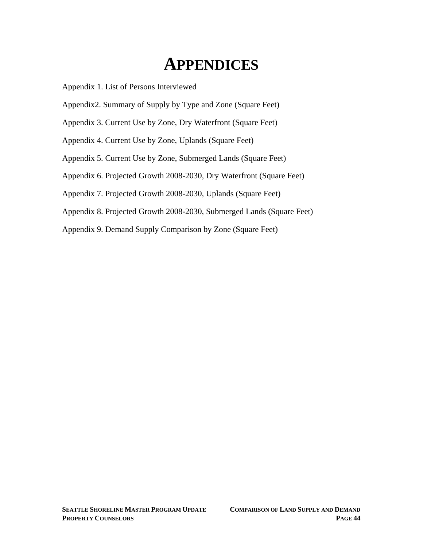# **APPENDICES**

Appendix 1. List of Persons Interviewed

- Appendix2. Summary of Supply by Type and Zone (Square Feet)
- Appendix 3. Current Use by Zone, Dry Waterfront (Square Feet)
- Appendix 4. Current Use by Zone, Uplands (Square Feet)
- Appendix 5. Current Use by Zone, Submerged Lands (Square Feet)
- Appendix 6. Projected Growth 2008-2030, Dry Waterfront (Square Feet)
- Appendix 7. Projected Growth 2008-2030, Uplands (Square Feet)
- Appendix 8. Projected Growth 2008-2030, Submerged Lands (Square Feet)
- Appendix 9. Demand Supply Comparison by Zone (Square Feet)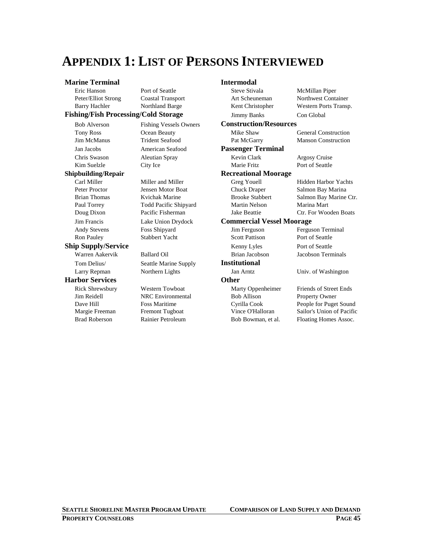# **APPENDIX 1: LIST OF PERSONS INTERVIEWED**

#### **Marine Terminal 1986 Intermodal**

#### Fishing/Fish Processing/Cold Storage

## **Shipbuilding/Repair**

Andy Stevens Foss Shipyard Ron Pauley Stabbert Yacht **Ship Supply/Service** 

#### **Harbor Services**

| ише тегишан                       |                               | THIEI HIUUAI                     |                               |  |  |  |  |  |  |
|-----------------------------------|-------------------------------|----------------------------------|-------------------------------|--|--|--|--|--|--|
| Eric Hanson                       | Port of Seattle               | Steve Stivala                    | McMillan Piper                |  |  |  |  |  |  |
| Peter/Elliot Strong               | <b>Coastal Transport</b>      | Art Scheuneman                   | Northwest Container           |  |  |  |  |  |  |
| <b>Barry Hachler</b>              | Northland Barge               | Kent Christopher                 | Western Ports Transp.         |  |  |  |  |  |  |
| hing/Fish Processing/Cold Storage |                               | Con Global<br><b>Jimmy Banks</b> |                               |  |  |  |  |  |  |
| <b>Bob Alverson</b>               | <b>Fishing Vessels Owners</b> | <b>Construction/Resources</b>    |                               |  |  |  |  |  |  |
| <b>Tony Ross</b>                  | Ocean Beauty                  | Mike Shaw                        | <b>General Construction</b>   |  |  |  |  |  |  |
| Jim McManus                       | <b>Trident Seafood</b>        | Pat McGarry                      | <b>Manson Construction</b>    |  |  |  |  |  |  |
| Jan Jacobs                        | American Seafood              | <b>Passenger Terminal</b>        |                               |  |  |  |  |  |  |
| Chris Swason                      | <b>Aleutian Spray</b>         | Kevin Clark                      | Argosy Cruise                 |  |  |  |  |  |  |
| Kim Suelzle                       | City Ice                      | Marie Fritz                      | Port of Seattle               |  |  |  |  |  |  |
| pbuilding/Repair                  |                               | <b>Recreational Moorage</b>      |                               |  |  |  |  |  |  |
| Carl Miller                       | Miller and Miller             | Greg Youell                      | <b>Hidden Harbor Yachts</b>   |  |  |  |  |  |  |
| Peter Proctor                     | <b>Jensen Motor Boat</b>      | <b>Chuck Draper</b>              | Salmon Bay Marina             |  |  |  |  |  |  |
| <b>Brian Thomas</b>               | Kvichak Marine                | <b>Brooke Stabbert</b>           | Salmon Bay Marine Ctr.        |  |  |  |  |  |  |
| Paul Torrey                       | Todd Pacific Shipyard         | <b>Martin Nelson</b>             | Marina Mart                   |  |  |  |  |  |  |
| Doug Dixon                        | Pacific Fisherman             | <b>Jake Beattie</b>              | Ctr. For Wooden Boats         |  |  |  |  |  |  |
| Jim Francis                       | Lake Union Drydock            | <b>Commercial Vessel Moorage</b> |                               |  |  |  |  |  |  |
| <b>Andy Stevens</b>               | Foss Shipyard                 | Jim Ferguson                     | Ferguson Terminal             |  |  |  |  |  |  |
| <b>Ron Pauley</b>                 | <b>Stabbert Yacht</b>         | <b>Scott Pattison</b>            | Port of Seattle               |  |  |  |  |  |  |
| ip Supply/Service                 |                               | Kenny Lyles                      | Port of Seattle               |  |  |  |  |  |  |
| Warren Aakervik                   | <b>Ballard Oil</b>            | Brian Jacobson                   | <b>Jacobson Terminals</b>     |  |  |  |  |  |  |
| Tom Delius/                       | Seattle Marine Supply         | <b>Institutional</b>             |                               |  |  |  |  |  |  |
| Larry Repman                      | Northern Lights               | Jan Arntz                        | Univ. of Washington           |  |  |  |  |  |  |
| rbor Services                     |                               | <b>Other</b>                     |                               |  |  |  |  |  |  |
| <b>Rick Shrewsbury</b>            | <b>Western Towboat</b>        | Marty Oppenheimer                | <b>Friends of Street Ends</b> |  |  |  |  |  |  |
| Jim Reidell                       | <b>NRC</b> Environmental      | <b>Bob Allison</b>               | <b>Property Owner</b>         |  |  |  |  |  |  |
| Dave Hill                         | <b>Foss Maritime</b>          | Cyrilla Cook                     | People for Puget Sound        |  |  |  |  |  |  |
| Margie Freeman                    | Fremont Tugboat               | Vince O'Halloran                 | Sailor's Union of Pacific     |  |  |  |  |  |  |
| <b>Brad Roberson</b>              | Rainier Petroleum             | Bob Bowman, et al.               | Floating Homes Assoc.         |  |  |  |  |  |  |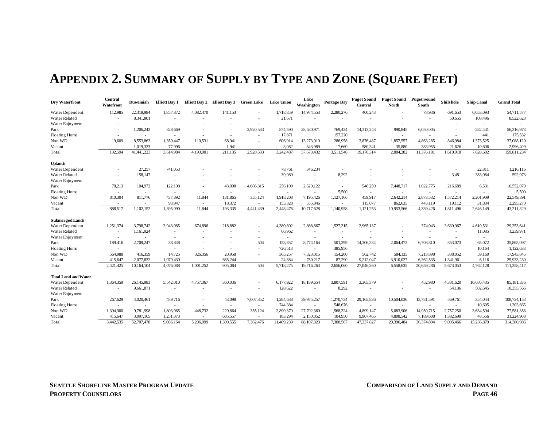# **APPENDIX 2. SUMMARY OF SUPPLY BY TYPE AND ZONE (SQUARE FEET)**

| Dry Waterfront              | Central<br>Watefront | Duwamish   | <b>Elliott Bay 1</b>     |                          | Elliott Bay 2 Elliott Bay 3 Green Lake |                          | <b>Lake Union</b>        | Lake<br>Washington       | <b>Portage Bay</b>       | <b>Puget Sound</b><br><b>Central</b> | <b>Puget Sound</b><br><b>North</b> | <b>Puget Sound</b><br>South | Shilshole                | <b>Ship Canal</b>        | <b>Grand Total</b> |
|-----------------------------|----------------------|------------|--------------------------|--------------------------|----------------------------------------|--------------------------|--------------------------|--------------------------|--------------------------|--------------------------------------|------------------------------------|-----------------------------|--------------------------|--------------------------|--------------------|
| Water Dependent             | 112,985              | 22,319,984 | 1,857,872                | 4,082,470                | 141,153                                |                          | 1,718,359                | 14,974,553               | 2,280,276                | 400,243                              |                                    | 78,936                      | 691,653                  | 6,053,093                | 54,711,577         |
| Water Related               |                      | 8,341,801  |                          |                          |                                        |                          | 21,671                   | $\sim$                   |                          |                                      |                                    |                             | 50,655                   | 108,496                  | 8,522,623          |
| Water Enjoyment             |                      |            | $\sim$                   |                          |                                        |                          | $\overline{\phantom{a}}$ |                          | $\overline{\phantom{a}}$ |                                      |                                    |                             | $\overline{\phantom{a}}$ | $\overline{\phantom{a}}$ |                    |
| Park                        |                      | 1,206,242  | 328,669                  |                          | $\overline{\phantom{a}}$               | 2,920,533                | 874,590                  | 28,580,971               | 769,434                  | 14,313,243                           | 990,845                            | 6,050,005                   | $\overline{\phantom{a}}$ | 282,441                  | 56,316,973         |
| Floating Home               |                      | $\sim$     | $\sim$                   |                          | ٠                                      |                          | 17,871                   |                          | 157,220                  |                                      | $\overline{\phantom{a}}$           |                             | $\sim$                   | 441                      | 175,532            |
| Non WD                      | 19,609               | 8,553,863  | 1,350,447                | 110,531                  | 68,041                                 |                          | 606,914                  | 13,273,919               | 286,958                  | 3,876,487                            | 1,857,557                          | 4,863,285                   | 846,984                  | 1,373,525                | 37,088,120         |
| Vacant                      |                      | 1,019,333  | 77,996                   | $\sim$                   | 1,941                                  |                          | 3,082                    | 843,989                  | 17,660                   | 580,341                              | 35,880                             | 383,955                     | 21,626                   | 10,606                   | 2,996,409          |
| Total                       | 132,594              | 41,441,223 | 3,614,984                | 4,193,001                | 211,135                                | 2,920,533                | 3,242,487                | 57,673,432               | 3,511,548                | 19,170,314                           | 2,884,282                          | 11,376,181                  | 1,610,918                | 7,828,602                | 159,811,234        |
| <b>Uplands</b>              |                      |            |                          |                          |                                        |                          |                          |                          |                          |                                      |                                    |                             |                          |                          |                    |
| Water Dependent             |                      | 27,257     | 741,053                  |                          |                                        |                          | 78,761                   | 346,234                  | $\overline{\phantom{a}}$ |                                      |                                    |                             |                          | 22,811                   | 1,216,116          |
| Water Related               |                      | 158,147    | $\overline{\phantom{a}}$ |                          |                                        |                          | 39,989                   |                          | 8,292                    |                                      |                                    |                             | 3,481                    | 383,064                  | 592,973            |
| Water Enjoyment             |                      | $\sim$     |                          |                          |                                        |                          | $\overline{\phantom{a}}$ |                          | $\overline{\phantom{a}}$ |                                      |                                    |                             | $\overline{\phantom{a}}$ | $\sim$                   |                    |
| Park                        | 78,213               | 104,972    | 122,198                  |                          | 43,098                                 | 4,086,315                | 256,190                  | 2,620,122                |                          | 546,259                              | 7,448,717                          | 1,022,775                   | 216,689                  | 6,531                    | 16,552,079         |
| Floating Home               |                      | $\sim$     | $\overline{\phantom{a}}$ | $\sim$                   | $\overline{\phantom{a}}$               |                          | $\sim$                   |                          | 5.500                    | $\sim$                               | $\overline{\phantom{a}}$           | $\sim$                      | $\overline{\phantom{a}}$ | $\overline{a}$           | 5,500              |
| Non WD                      | 810,304              | 811,776    | 437,892                  | 11,844                   | 131,865                                | 355,124                  | 1,918,208                | 7,195,426                | 1,127,166                | 459,917                              | 2,642,214                          | 2,873,532                   | 1,572,214                | 2,201,909                | 22,549,391         |
| Vacant                      |                      | $\sim$     | 93,947                   | $\sim$                   | 18,372                                 | $\sim$                   | 155,328                  | 555,846                  | $\sim$                   | 115,077                              | 862,635                            | 443,119                     | 19,112                   | 31,834                   | 2,295,270          |
| Total                       | 888,517              | 1,102,152  | 1,395,090                | 11,844                   | 193,335                                | 4,441,439                | 2,448,476                | 10,717,628               | 1.140.958                | 1,121,253                            | 10,953,566                         | 4,339,426                   | 1,811,496                | 2,646,149                | 43,211,329         |
| <b>Submerged Lands</b>      |                      |            |                          |                          |                                        |                          |                          |                          |                          |                                      |                                    |                             |                          |                          |                    |
| Water Dependent             | 1,251,374            | 3,798,742  | 2,943,085                | 674,896                  | 218,882                                |                          | 4,380,802                | 2,868,867                | 1,527,315                | 2,965,137                            |                                    | 374,043                     | 3,639,967                | 4,610,531                | 29,253,641         |
| Water Related               |                      | 1,161,924  |                          |                          |                                        |                          | 66,962                   |                          |                          |                                      |                                    |                             |                          | 11,085                   | 1,239,971          |
| Water Enjoyment             | $\sim$               | $\sim$     |                          |                          | ٠                                      |                          | $\sim$                   |                          | $\overline{\phantom{a}}$ |                                      |                                    |                             | $\sim$                   | $\sim$                   |                    |
| Park                        | 189,416              | 2,709,247  | 38,848                   |                          | $\overline{\phantom{a}}$               | 504                      | 153,857                  | 8,774,164                | 501,299                  | 14,306,334                           | 2,064,473                          | 6,708,810                   | 353,073                  | 65,072                   | 35,865,097         |
| Floating Home               | $\sim$               | $\sim$     | $\sim$                   | $\overline{\phantom{a}}$ | $\sim$                                 |                          | 726,513                  | $\sim$                   | 385,956                  | $\sim$                               | $\sim$                             |                             | $\sim$                   | 10,164                   | 1,122,633          |
| Non WD                      | 564,988              | 416.359    | 14,725                   | 326,356                  | 20,958                                 |                          | 365,257                  | 7,323,015                | 154,200                  | 562,742                              | 584,135                            | 7,213,898                   | 338,052                  | 59,160                   | 17,943,845         |
| Vacant                      | 415,647              | 2,077,832  | 1,079,430                | $\sim$                   | 665,244                                |                          | 24,884                   | 750,217                  | 87,290                   | 9,212,047                            | 3,910,027                          | 6,362,535                   | 1,341,961                | 6,116                    | 25,933,230         |
| Total                       | 2,421,425            | 10,164,104 | 4,076,088                | 1.001.252                | 905,084                                | 504                      | 5,718,275                | 19,716,263               | 2,656,060                | 27,046,260                           | 6,558,635                          | 20,659,286                  | 5,673,053                | 4,762,128                | 111,358,417        |
| <b>Total Land and Water</b> |                      |            |                          |                          |                                        |                          |                          |                          |                          |                                      |                                    |                             |                          |                          |                    |
| Water Dependent             | 1,364,359            | 26,145,983 | 5,542,010                | 4,757,367                | 360,036                                |                          | 6,177,922                | 18,189,654               | 3,807,591                | 3,365,379                            |                                    | 452,980                     | 4,331,620                | 10,686,435               | 85,181,336         |
| Water Related               |                      | 9,661,871  | $\overline{\phantom{a}}$ | $\overline{\phantom{a}}$ | $\overline{\phantom{a}}$               | $\overline{\phantom{a}}$ | 128,622                  | $\overline{\phantom{a}}$ | 8,292                    |                                      |                                    | $\overline{\phantom{a}}$    | 54,136                   | 502,645                  | 10,355,566         |
| Water Enjoyment             | $\sim$               | $\sim$     | $\sim$                   |                          | $\overline{\phantom{a}}$               | $\sim$                   |                          | $\overline{\phantom{a}}$ | $\overline{\phantom{a}}$ |                                      |                                    | $\overline{\phantom{a}}$    | $\overline{\phantom{a}}$ | $\sim$                   |                    |
| Park                        | 267,629              | 4,020,461  | 489,716                  | $\sim$                   | 43,098                                 | 7,007,352                | 1,284,638                | 39,975,257               | 1,270,734                | 29,165,836                           | 10,504,036                         | 13,781,591                  | 569,761                  | 354,044                  | 108,734,153        |
| Floating Home               |                      | $\sim$     | $\overline{\phantom{a}}$ | $\sim$                   | $\sim$                                 | $\sim$                   | 744,384                  |                          | 548,676                  | $\sim$                               | $\sim$                             | $\overline{\phantom{a}}$    | $\sim$                   | 10,605                   | 1,303,665          |
| Non WD                      | 1,394,900            | 9,781,998  | 1,803,065                | 448,732                  | 220,864                                | 355,124                  | 2,890,379                | 27,792,360               | 1,568,324                | 4,899,147                            | 5,083,906                          | 14,950,715                  | 2,757,250                | 3,634,594                | 77,581,358         |
| Vacant                      | 415,647              | 3,097,165  | 1,251,373                | $\sim$                   | 685,557                                |                          | 183,294                  | 2,150,052                | 104.950                  | 9,907,465                            | 4,808,542                          | 7,189,608                   | 1.382,699                | 48,556                   | 31,224,908         |
| Total                       | 3,442,535            | 52,707,478 | 9,086,164                | 5,206,099                | 1,309,555                              | 7,362,476                | 11,409,239               | 88,107,323               | 7,308,567                | 47,337,827                           | 20,396,484                         | 36,374,894                  | 9,095,466                | 15,236,879               | 314,380,986        |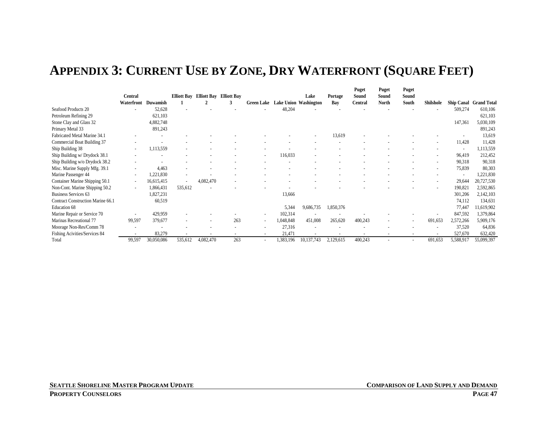## **APPENDIX 3: CURRENT USE BY ZONE, DRY WATERFRONT (SQUARE FEET)**

|                                   |                          |            |                          |                                     |     |                   |                              |                          |           | Puget                    | Puget        | Puget |           |                          |                        |
|-----------------------------------|--------------------------|------------|--------------------------|-------------------------------------|-----|-------------------|------------------------------|--------------------------|-----------|--------------------------|--------------|-------|-----------|--------------------------|------------------------|
|                                   | Central                  |            |                          | Elliott Bay Elliott Bay Elliott Bay |     |                   |                              | Lake                     | Portage   | Sound                    | Sound        | Sound |           |                          |                        |
|                                   | Waterfront               | Duwamish   |                          |                                     | 3   | <b>Green Lake</b> | <b>Lake Union Washington</b> |                          | Bay       | Central                  | <b>North</b> | South | Shilshole |                          | Ship Canal Grand Total |
| Seafood Products 20               |                          | 52,628     |                          |                                     |     |                   | 48,204                       |                          |           |                          |              |       |           | 509,274                  | 610,106                |
| Petroleum Refining 29             |                          | 621,103    |                          |                                     |     |                   |                              |                          |           |                          |              |       |           |                          | 621,103                |
| Stone Clay and Glass 32           |                          | 4,882,748  |                          |                                     |     |                   |                              |                          |           |                          |              |       |           | 147,361                  | 5,030,109              |
| Primary Metal 33                  |                          | 891,243    |                          |                                     |     |                   |                              |                          |           |                          |              |       |           |                          | 891,243                |
| Fabricated Metal Marine 34.1      |                          |            |                          |                                     |     |                   |                              |                          | 13,619    |                          |              |       |           |                          | 13,619                 |
| Commercial Boat Building 37       |                          |            |                          |                                     |     |                   |                              |                          |           |                          |              |       |           | 11,428                   | 11,428                 |
| Ship Building 38                  | $\overline{\phantom{a}}$ | 1,113,559  |                          |                                     |     |                   |                              |                          |           |                          |              |       |           | $\overline{\phantom{a}}$ | 1,113,559              |
| Ship Building w/ Drydock 38.1     |                          |            |                          |                                     |     | $\sim$            | 116,033                      | $\overline{\phantom{a}}$ |           |                          |              |       |           | 96,419                   | 212,452                |
| Ship Building w/o Drydock 38.2    |                          |            |                          |                                     |     |                   |                              |                          |           |                          |              |       |           | 90,318                   | 90,318                 |
| Misc. Marine Supply Mfg. 39.1     |                          | 4,463      |                          |                                     |     |                   |                              |                          |           |                          |              |       |           | 75,839                   | 80,303                 |
| Marine Passenger 44               | $\overline{\phantom{a}}$ | 1,221,830  | $\overline{\phantom{a}}$ |                                     |     |                   |                              |                          |           |                          |              |       |           |                          | 1,221,830              |
| Container Marine Shipping 50.1    | $\overline{\phantom{a}}$ | 16,615,415 | $\blacksquare$           | 4,082,470                           |     |                   |                              |                          |           |                          |              |       |           | 29,644                   | 20,727,530             |
| Non-Cont. Marine Shipping 50.2    |                          | .866,431   | 535,612                  |                                     |     |                   |                              |                          |           |                          |              |       |           | 190,821                  | 2,592,865              |
| Business Services 63              |                          | .827,231   |                          |                                     |     |                   | 13,666                       |                          |           |                          |              |       |           | 301,206                  | 2,142,103              |
| Contract Construction Marine 66.1 |                          | 60,519     |                          |                                     |     |                   |                              |                          |           |                          |              |       |           | 74,112                   | 134,631                |
| Education 68                      |                          |            |                          |                                     |     |                   | 5,344                        | 9,686,735                | 1,850,376 |                          |              |       |           | 77,447                   | 1,619,902              |
| Marine Repair or Service 70       |                          | 429,959    |                          |                                     |     | $\sim$            | 102,314                      |                          |           |                          |              |       |           | 847,592                  | 1,379,864              |
| Marinas Recreational 77           | 99,597                   | 379,677    |                          |                                     | 263 |                   | 1,048,848                    | 451,008                  | 265,620   | 400,243                  |              |       | 691,653   | 2,572,266                | 5,909,176              |
| Moorage Non-Res/Comm 78           |                          |            |                          |                                     |     |                   | 27,316                       | $\overline{\phantom{a}}$ |           |                          |              |       |           | 37,520                   | 64,836                 |
| Fishing Acivities/Services 84     |                          | 83,279     |                          |                                     |     |                   | 21,471                       | $\overline{\phantom{a}}$ |           | $\overline{\phantom{a}}$ |              |       |           | 527,670                  | 632,420                |
| Total                             | 99,597                   | 30,050,086 | 535,612                  | 4,082,470                           | 263 |                   | 1,383,196                    | 10,137,743               | 2,129,615 | 400,243                  |              |       | 691,653   | 5,588,917                | 55,099,397             |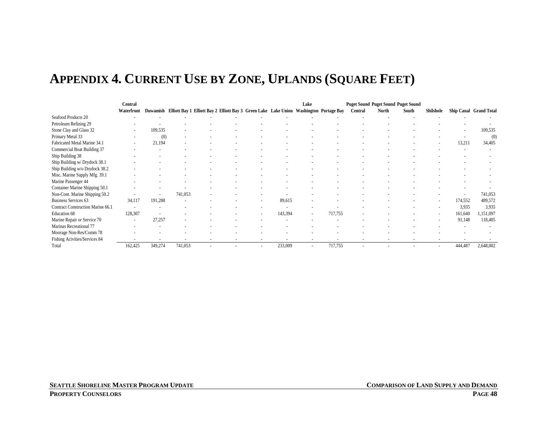# **APPENDIX 4. CURRENT USE BY ZONE, UPLANDS (SQUARE FEET)**

|                                   | Central                  |         |         |                                                                                                 |  |  |                          | Lake                     |         |         | <b>Puget Sound Puget Sound Puget Sound</b> |       |           |         |                        |
|-----------------------------------|--------------------------|---------|---------|-------------------------------------------------------------------------------------------------|--|--|--------------------------|--------------------------|---------|---------|--------------------------------------------|-------|-----------|---------|------------------------|
|                                   | Waterfront               |         |         | Duwamish Elliott Bay 1 Elliott Bay 2 Elliott Bay 3 Green Lake Lake Union Washington Portage Bay |  |  |                          |                          |         | Central | <b>North</b>                               | South | Shilshole |         | Ship Canal Grand Total |
| Seafood Products 20               |                          |         |         |                                                                                                 |  |  |                          |                          |         |         |                                            |       |           |         |                        |
| Petroleum Refining 29             |                          |         |         |                                                                                                 |  |  |                          |                          |         |         |                                            |       |           |         |                        |
| Stone Clay and Glass 32           |                          | 109,535 |         |                                                                                                 |  |  |                          |                          |         |         |                                            |       |           |         | 109,535                |
| Primary Metal 33                  |                          | (0)     |         |                                                                                                 |  |  |                          |                          |         |         |                                            |       |           |         | (0)                    |
| Fabricated Metal Marine 34.1      |                          | 21,194  |         |                                                                                                 |  |  |                          |                          |         |         |                                            |       |           | 13,211  | 34,405                 |
| Commercial Boat Building 37       |                          |         |         |                                                                                                 |  |  |                          |                          |         |         |                                            |       |           |         |                        |
| Ship Building 38                  |                          |         |         |                                                                                                 |  |  |                          |                          |         |         |                                            |       |           |         |                        |
| Ship Building w/ Drydock 38.1     |                          |         |         |                                                                                                 |  |  |                          |                          |         |         |                                            |       |           |         |                        |
| Ship Building w/o Drydock 38.2    |                          |         |         |                                                                                                 |  |  |                          |                          |         |         |                                            |       |           |         |                        |
| Misc. Marine Supply Mfg. 39.1     |                          |         |         |                                                                                                 |  |  |                          |                          |         |         |                                            |       |           |         |                        |
| Marine Passenger 44               |                          |         |         |                                                                                                 |  |  |                          |                          |         |         |                                            |       |           |         |                        |
| Container Marine Shipping 50.1    |                          |         |         |                                                                                                 |  |  |                          |                          |         |         |                                            |       |           |         |                        |
| Non-Cont. Marine Shipping 50.2    |                          |         | 741,053 |                                                                                                 |  |  |                          |                          |         |         |                                            |       |           |         | 741,053                |
| <b>Business Services 63</b>       | 34,117                   | 191,288 |         |                                                                                                 |  |  | 89,615                   |                          |         |         |                                            |       |           | 174,552 | 489,572                |
| Contract Construction Marine 66.1 | $\overline{\phantom{a}}$ |         |         |                                                                                                 |  |  |                          |                          |         |         |                                            |       |           | 3,935   | 3,935                  |
| Education 68                      | 128,307                  |         |         |                                                                                                 |  |  | 143,394                  | $\overline{\phantom{a}}$ | 717,755 |         |                                            |       |           | 161,640 | ,151,097               |
| Marine Repair or Service 70       |                          | 27,257  |         |                                                                                                 |  |  |                          |                          |         |         |                                            |       |           | 91,148  | 118,405                |
| Marinas Recreational 77           |                          |         |         |                                                                                                 |  |  |                          |                          |         |         |                                            |       |           |         |                        |
| Moorage Non-Res/Comm 78           |                          |         |         |                                                                                                 |  |  |                          |                          |         |         |                                            |       |           |         |                        |
| Fishing Acivities/Services 84     |                          |         |         |                                                                                                 |  |  | $\overline{\phantom{a}}$ |                          |         |         | $\overline{\phantom{a}}$                   |       |           |         |                        |
| Total                             | 162,425                  | 349,274 | 741,053 |                                                                                                 |  |  | 233,009                  |                          | 717,755 |         |                                            |       |           | 444,487 | 2,648,002              |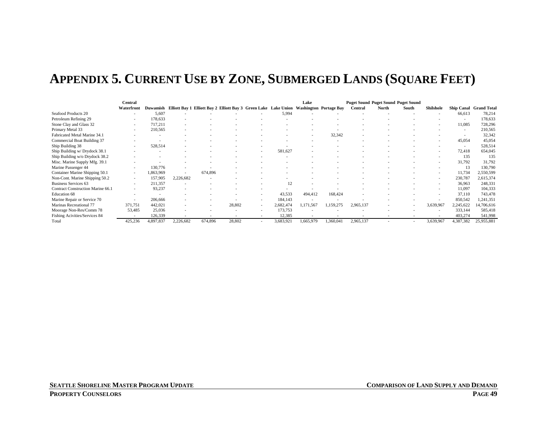# **APPENDIX 5. CURRENT USE BY ZONE, SUBMERGED LANDS (SQUARE FEET)**

|                                   | Central    |           |                          |                                                                                                 |        |                          |           | Lake      |           |           | <b>Puget Sound Puget Sound Puget Sound</b> |       |                  |                          |                        |
|-----------------------------------|------------|-----------|--------------------------|-------------------------------------------------------------------------------------------------|--------|--------------------------|-----------|-----------|-----------|-----------|--------------------------------------------|-------|------------------|--------------------------|------------------------|
|                                   | Waterfront |           |                          | Duwamish Elliott Bay 1 Elliott Bay 2 Elliott Bay 3 Green Lake Lake Union Washington Portage Bay |        |                          |           |           |           | Central   | North                                      | South | <b>Shilshole</b> |                          | Ship Canal Grand Total |
| Seafood Products 20               |            | 5,607     |                          |                                                                                                 |        |                          | 5,994     |           |           |           |                                            |       |                  | 66,613                   | 78,214                 |
| Petroleum Refining 29             |            | 178,633   |                          |                                                                                                 |        |                          |           |           |           |           |                                            |       |                  |                          | 178,633                |
| Stone Clay and Glass 32           | $\sim$     | 717,211   |                          |                                                                                                 |        |                          |           |           |           |           |                                            |       |                  | 11,085                   | 728,296                |
| Primary Metal 33                  | $\sim$     | 210,565   |                          |                                                                                                 |        |                          |           |           |           |           |                                            |       |                  | $\overline{\phantom{a}}$ | 210,565                |
| Fabricated Metal Marine 34.1      |            |           |                          |                                                                                                 |        |                          |           |           | 32,342    |           |                                            |       |                  |                          | 32,342                 |
| Commercial Boat Building 37       |            |           |                          |                                                                                                 |        |                          |           |           |           |           |                                            |       |                  | 45,054                   | 45,054                 |
| Ship Building 38                  | $\sim$     | 528,514   |                          |                                                                                                 |        |                          |           |           |           |           |                                            |       |                  | $\overline{\phantom{a}}$ | 528,514                |
| Ship Building w/ Drydock 38.1     |            |           |                          |                                                                                                 |        |                          | 581,627   |           |           |           |                                            |       |                  | 72,418                   | 654,045                |
| Ship Building w/o Drydock 38.2    |            |           |                          |                                                                                                 |        |                          |           |           |           |           |                                            |       |                  | 135                      | 135                    |
| Misc. Marine Supply Mfg. 39.1     |            |           |                          |                                                                                                 |        |                          |           |           |           |           |                                            |       |                  | 31,792                   | 31,792                 |
| Marine Passenger 44               |            | 130,776   |                          |                                                                                                 |        |                          |           |           |           |           |                                            |       |                  |                          | 130,790                |
| Container Marine Shipping 50.1    | $\sim$     | 1,863,969 | $\overline{\phantom{a}}$ | 674,896                                                                                         |        |                          |           |           |           |           |                                            |       |                  | 11,734                   | 2,550,599              |
| Non-Cont. Marine Shipping 50.2    | $\sim$     | 157,905   | 2,226,682                |                                                                                                 |        |                          |           |           |           |           |                                            |       |                  | 230,787                  | 2,615,374              |
| Business Services 63              | $\sim$     | 211,357   |                          |                                                                                                 |        |                          | 12        |           |           |           |                                            |       |                  | 36,963                   | 248,331                |
| Contract Construction Marine 66.1 |            | 93,237    |                          |                                                                                                 |        |                          |           |           |           |           |                                            |       |                  | 11,097                   | 104,333                |
| Education 68                      |            |           |                          |                                                                                                 |        |                          | 43,533    | 494,412   | 168,424   |           |                                            |       |                  | 37,110                   | 743,478                |
| Marine Repair or Service 70       |            | 206,666   |                          |                                                                                                 |        |                          | 184,143   |           |           |           |                                            |       |                  | 850,542                  | .241,351               |
| Marinas Recreational 77           | 371,751    | 442,021   |                          |                                                                                                 | 28,802 | $\overline{\phantom{a}}$ | 2,682,474 | 1,171,567 | 1,159,275 | 2,965,137 |                                            |       | 3,639,967        | 2,245,622                | 14,706,616             |
| Moorage Non-Res/Comm 78           | 53,485     | 25,036    |                          |                                                                                                 |        |                          | 173,753   |           |           |           |                                            |       |                  | 333,144                  | 585,418                |
| Fishing Acivities/Services 84     |            | 126,339   |                          |                                                                                                 |        |                          | 12,385    |           |           |           |                                            |       |                  | 403,274                  | 541,998                |
| Total                             | 425,236    | 4,897,837 | 2,226,682                | 674,896                                                                                         | 28,802 |                          | 3,683,921 | 1,665,979 | 1,360,041 | 2,965,137 |                                            |       | 3,639,967        | 4,387,382                | 25,955,881             |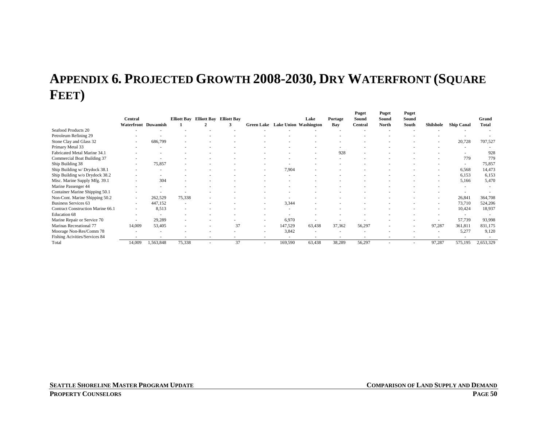# **APPENDIX 6. PROJECTED GROWTH 2008-2030, DRY WATERFRONT (SQUARE FEET)**

|                                   | Central             |           | <b>Elliott Bay</b> | <b>Elliott Bay</b> Elliott Bay |    |        |         | Lake                             | Portage | Puget<br>Sound | Puget<br>Sound | Puget<br>Sound |           |                   | Grand        |
|-----------------------------------|---------------------|-----------|--------------------|--------------------------------|----|--------|---------|----------------------------------|---------|----------------|----------------|----------------|-----------|-------------------|--------------|
|                                   | Waterfront Duwamish |           |                    |                                | з  |        |         | Green Lake Lake Union Washington | Bay     | Central        | North          | South          | Shilshole | <b>Ship Canal</b> | <b>Total</b> |
| Seafood Products 20               |                     |           |                    |                                |    |        |         |                                  |         |                |                |                |           |                   |              |
| Petroleum Refining 29             |                     |           |                    |                                |    |        |         |                                  |         |                |                |                |           |                   |              |
| Stone Clay and Glass 32           | $\sim$              | 686,799   |                    |                                |    |        |         |                                  |         |                |                |                |           | 20,728            | 707,527      |
| Primary Metal 33                  |                     |           |                    |                                |    |        |         |                                  |         |                |                |                |           |                   |              |
| Fabricated Metal Marine 34.1      |                     |           |                    |                                |    |        |         |                                  | 928     |                |                |                |           |                   | 928          |
| Commercial Boat Building 37       |                     |           |                    |                                |    |        |         |                                  |         |                |                |                |           | 779               | 779          |
| Ship Building 38                  |                     | 75,857    |                    |                                |    |        |         |                                  |         |                |                |                |           |                   | 75,857       |
| Ship Building w/ Drydock 38.1     |                     |           |                    |                                |    |        | 7,904   |                                  |         |                |                |                |           | 6,568             | 14,473       |
| Ship Building w/o Drydock 38.2    |                     |           |                    |                                |    |        |         |                                  |         |                |                |                |           | 6,153             | 6,153        |
| Misc. Marine Supply Mfg. 39.1     |                     | 304       |                    |                                |    |        |         |                                  |         |                |                |                |           | 5,166             | 5,470        |
| Marine Passenger 44               |                     |           |                    |                                |    |        |         |                                  |         |                |                |                |           |                   |              |
| Container Marine Shipping 50.1    |                     |           |                    |                                |    |        |         |                                  |         |                |                |                |           | $\sim$            |              |
| Non-Cont. Marine Shipping 50.2    | $\sim$              | 262,529   | 75,338             |                                |    |        |         |                                  |         |                |                |                |           | 26,841            | 364,708      |
| <b>Business Services 63</b>       | $\sim$              | 447,152   |                    |                                |    |        | 3,344   |                                  |         |                |                |                |           | 73,710            | 524,206      |
| Contract Construction Marine 66.1 | $\sim$              | 8,513     |                    |                                |    |        |         |                                  |         |                |                |                |           | 10,424            | 18,937       |
| <b>Education 68</b>               |                     |           |                    |                                |    |        |         |                                  |         |                |                |                |           |                   |              |
| Marine Repair or Service 70       | $\sim$              | 29,289    |                    |                                |    |        | 6,970   | ۰                                |         |                |                |                |           | 57,739            | 93,998       |
| Marinas Recreational 77           | 14,009              | 53,405    |                    |                                | 37 |        | 147,529 | 63,438                           | 37,362  | 56,297         |                |                | 97,287    | 361,811           | 831,175      |
| Moorage Non-Res/Comm 78           |                     | ٠         |                    |                                |    |        | 3,842   | $\sim$                           | $\sim$  |                |                |                |           | 5,277             | 9,120        |
| Fishing Acivities/Services 84     |                     |           |                    |                                |    | $\sim$ |         |                                  |         |                |                |                |           |                   |              |
| Total                             | 14,009              | 1,563,848 | 75,338             |                                | 37 |        | 169,590 | 63,438                           | 38,289  | 56,297         |                |                | 97,287    | 575,195           | 2,653,329    |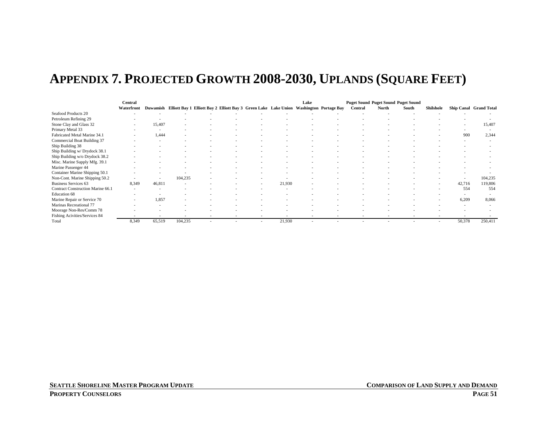# **APPENDIX 7. PROJECTED GROWTH 2008-2030, UPLANDS (SQUARE FEET)**

|                                   | Central                  |                          |         |                                                                                                 |  |        | Lake |                          | <b>Puget Sound Puget Sound Puget Sound</b> |       |           |        |                        |
|-----------------------------------|--------------------------|--------------------------|---------|-------------------------------------------------------------------------------------------------|--|--------|------|--------------------------|--------------------------------------------|-------|-----------|--------|------------------------|
|                                   | Waterfront               |                          |         | Duwamish Elliott Bay 1 Elliott Bay 2 Elliott Bay 3 Green Lake Lake Union Washington Portage Bay |  |        |      | Central                  | North                                      | South | Shilshole |        | Ship Canal Grand Total |
| Seafood Products 20               |                          |                          |         |                                                                                                 |  |        |      |                          |                                            |       |           |        |                        |
| Petroleum Refining 29             |                          | $\overline{\phantom{a}}$ |         |                                                                                                 |  |        |      |                          |                                            |       |           |        |                        |
| Stone Clay and Glass 32           |                          | 15,407                   |         |                                                                                                 |  |        |      |                          |                                            |       |           |        | 15,407                 |
| Primary Metal 33                  | $\overline{\phantom{a}}$ |                          |         |                                                                                                 |  |        |      |                          |                                            |       |           |        |                        |
| Fabricated Metal Marine 34.1      |                          | 1,444                    |         |                                                                                                 |  |        |      |                          |                                            |       |           | 900    | 2,344                  |
| Commercial Boat Building 37       |                          |                          |         |                                                                                                 |  |        |      |                          |                                            |       |           |        |                        |
| Ship Building 38                  |                          |                          |         |                                                                                                 |  |        |      |                          |                                            |       |           |        |                        |
| Ship Building w/ Drydock 38.1     |                          |                          |         |                                                                                                 |  |        |      |                          |                                            |       |           |        |                        |
| Ship Building w/o Drydock 38.2    |                          |                          |         |                                                                                                 |  |        |      |                          |                                            |       |           |        |                        |
| Misc. Marine Supply Mfg. 39.1     |                          |                          |         |                                                                                                 |  |        |      |                          |                                            |       |           |        |                        |
| Marine Passenger 44               |                          |                          |         |                                                                                                 |  |        |      |                          |                                            |       |           |        |                        |
| Container Marine Shipping 50.1    |                          |                          |         |                                                                                                 |  |        |      |                          |                                            |       |           |        |                        |
| Non-Cont. Marine Shipping 50.2    |                          |                          | 104,235 |                                                                                                 |  |        |      |                          |                                            |       |           |        | 104,235                |
| <b>Business Services 63</b>       | 8,349                    | 46,811                   |         |                                                                                                 |  | 21,930 |      |                          |                                            |       |           | 42,716 | 119,806                |
| Contract Construction Marine 66.1 |                          |                          |         |                                                                                                 |  |        |      |                          |                                            |       |           | 554    | 554                    |
| Education 68                      |                          |                          |         |                                                                                                 |  |        |      |                          |                                            |       |           |        |                        |
| Marine Repair or Service 70       | $\overline{\phantom{a}}$ | 1,857                    |         |                                                                                                 |  |        |      |                          |                                            |       |           | 6,209  | 8,066                  |
| Marinas Recreational 77           |                          |                          |         |                                                                                                 |  |        |      |                          |                                            |       |           |        |                        |
| Moorage Non-Res/Comm 78           |                          |                          |         |                                                                                                 |  |        |      |                          |                                            |       |           |        |                        |
| Fishing Acivities/Services 84     |                          |                          |         |                                                                                                 |  |        |      | $\overline{\phantom{a}}$ |                                            |       |           |        |                        |
| Total                             | 8,349                    | 65,519                   | 104,235 |                                                                                                 |  | 21,930 |      |                          |                                            |       |           | 50,378 | 250,411                |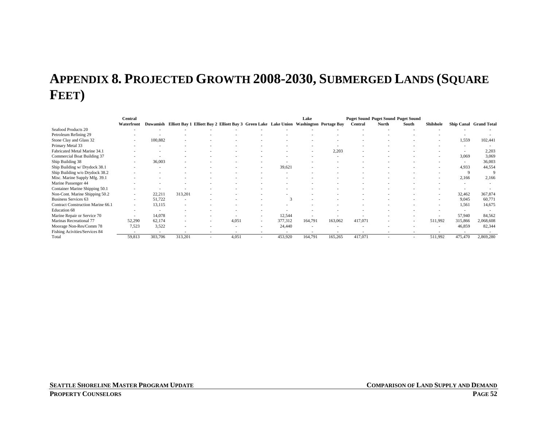# **APPENDIX 8. PROJECTED GROWTH 2008-2030, SUBMERGED LANDS (SQUARE FEET)**

|                                   | Central                  |         |                          |                                                                                                 |       |                          |         | Lake    |         | <b>Puget Sound Puget Sound Puget Sound</b> |       |       |           |             |                        |
|-----------------------------------|--------------------------|---------|--------------------------|-------------------------------------------------------------------------------------------------|-------|--------------------------|---------|---------|---------|--------------------------------------------|-------|-------|-----------|-------------|------------------------|
|                                   | Waterfront               |         |                          | Duwamish Elliott Bay 1 Elliott Bay 2 Elliott Bay 3 Green Lake Lake Union Washington Portage Bay |       |                          |         |         |         | Central                                    | North | South | Shilshole |             | Ship Canal Grand Total |
| Seafood Products 20               |                          |         |                          |                                                                                                 |       |                          |         |         |         |                                            |       |       |           |             |                        |
| Petroleum Refining 29             |                          |         |                          |                                                                                                 |       |                          |         |         |         |                                            |       |       |           |             |                        |
| Stone Clay and Glass 32           |                          | 100,882 |                          |                                                                                                 |       |                          |         |         |         |                                            |       |       |           | 1,559       | 102,441                |
| Primary Metal 33                  |                          |         |                          |                                                                                                 |       |                          |         |         |         |                                            |       |       |           |             |                        |
| Fabricated Metal Marine 34.1      |                          |         |                          |                                                                                                 |       |                          |         |         | 2,203   |                                            |       |       |           |             | 2,203                  |
| Commercial Boat Building 37       |                          |         |                          |                                                                                                 |       |                          |         |         |         |                                            |       |       |           | 3,069       | 3,069                  |
| Ship Building 38                  | $\overline{\phantom{a}}$ | 36,003  |                          |                                                                                                 |       |                          |         |         |         |                                            |       |       |           |             | 36,003                 |
| Ship Building w/ Drydock 38.1     |                          |         |                          |                                                                                                 |       |                          | 39,621  |         |         |                                            |       |       |           | 4,933       | 44,554                 |
| Ship Building w/o Drydock 38.2    |                          |         |                          |                                                                                                 |       |                          |         |         |         |                                            |       |       |           | $\mathbf Q$ | $\mathbf Q$            |
| Misc. Marine Supply Mfg. 39.1     |                          |         |                          |                                                                                                 |       |                          |         |         |         |                                            |       |       |           | 2,166       | 2,166                  |
| Marine Passenger 44               |                          |         |                          |                                                                                                 |       |                          |         |         |         |                                            |       |       |           |             |                        |
| Container Marine Shipping 50.1    |                          |         |                          |                                                                                                 |       |                          |         |         |         |                                            |       |       |           |             |                        |
| Non-Cont. Marine Shipping 50.2    |                          | 22,211  | 313,201                  |                                                                                                 |       |                          |         |         |         |                                            |       |       |           | 32,462      | 367,874                |
| <b>Business Services 63</b>       | $\overline{\phantom{a}}$ | 51,722  | $\overline{\phantom{a}}$ |                                                                                                 |       |                          |         |         |         |                                            |       |       |           | 9,045       | 60,771                 |
| Contract Construction Marine 66.1 | $\sim$                   | 13,115  |                          |                                                                                                 |       |                          |         |         |         |                                            |       |       |           | 1,561       | 14,675                 |
| Education 68                      |                          |         |                          |                                                                                                 |       |                          |         |         |         |                                            |       |       |           |             |                        |
| Marine Repair or Service 70       |                          | 14,078  |                          |                                                                                                 |       | $\overline{\phantom{a}}$ | 12,544  |         |         |                                            |       |       |           | 57,940      | 84,562                 |
| Marinas Recreational 77           | 52,290                   | 62,174  |                          |                                                                                                 | 4,051 | $\overline{\phantom{a}}$ | 377,312 | 164,791 | 163,062 | 417,071                                    |       |       | 511,992   | 315,866     | 2,068,608              |
| Moorage Non-Res/Comm 78           | 7,523                    | 3,522   |                          |                                                                                                 |       |                          | 24,440  |         |         |                                            |       |       |           | 46,859      | 82,344                 |
| Fishing Acivities/Services 84     |                          | $\sim$  | $\overline{\phantom{a}}$ |                                                                                                 |       |                          |         |         |         | ۰.                                         |       |       |           |             |                        |
| Total                             | 59,813                   | 303,706 | 313,201                  |                                                                                                 | 4,051 |                          | 453,920 | 164,791 | 165,265 | 417,071                                    |       |       | 511,992   | 475,470     | 2,869,280              |